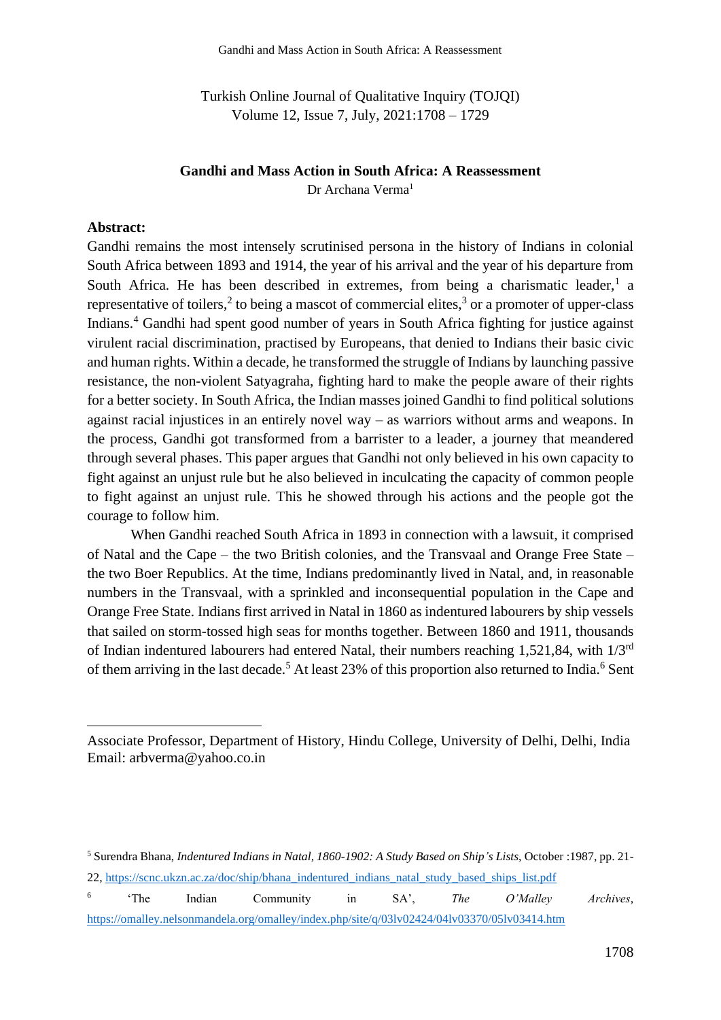Turkish Online Journal of Qualitative Inquiry (TOJQI) Volume 12, Issue 7, July, 2021:1708 – 1729

## **Gandhi and Mass Action in South Africa: A Reassessment**

Dr Archana Verma<sup>1</sup>

## **Abstract:**

Gandhi remains the most intensely scrutinised persona in the history of Indians in colonial South Africa between 1893 and 1914, the year of his arrival and the year of his departure from South Africa. He has been described in extremes, from being a charismatic leader,<sup>1</sup> a representative of toilers,<sup>2</sup> to being a mascot of commercial elites,<sup>3</sup> or a promoter of upper-class Indians. <sup>4</sup> Gandhi had spent good number of years in South Africa fighting for justice against virulent racial discrimination, practised by Europeans, that denied to Indians their basic civic and human rights. Within a decade, he transformed the struggle of Indians by launching passive resistance, the non-violent Satyagraha, fighting hard to make the people aware of their rights for a better society. In South Africa, the Indian masses joined Gandhi to find political solutions against racial injustices in an entirely novel way – as warriors without arms and weapons. In the process, Gandhi got transformed from a barrister to a leader, a journey that meandered through several phases. This paper argues that Gandhi not only believed in his own capacity to fight against an unjust rule but he also believed in inculcating the capacity of common people to fight against an unjust rule. This he showed through his actions and the people got the courage to follow him.

When Gandhi reached South Africa in 1893 in connection with a lawsuit, it comprised of Natal and the Cape – the two British colonies, and the Transvaal and Orange Free State – the two Boer Republics. At the time, Indians predominantly lived in Natal, and, in reasonable numbers in the Transvaal, with a sprinkled and inconsequential population in the Cape and Orange Free State. Indians first arrived in Natal in 1860 as indentured labourers by ship vessels that sailed on storm-tossed high seas for months together. Between 1860 and 1911, thousands of Indian indentured labourers had entered Natal, their numbers reaching 1,521,84, with 1/3rd of them arriving in the last decade.<sup>5</sup> At least 23% of this proportion also returned to India.<sup>6</sup> Sent

Associate Professor, Department of History, Hindu College, University of Delhi, Delhi, India Email: arbverma@yahoo.co.in

<sup>5</sup> Surendra Bhana, *Indentured Indians in Natal, 1860-1902: A Study Based on Ship's Lists*, October :1987, pp. 21-

<sup>22,</sup> [https://scnc.ukzn.ac.za/doc/ship/bhana\\_indentured\\_indians\\_natal\\_study\\_based\\_ships\\_list.pdf](https://scnc.ukzn.ac.za/doc/ship/bhana_indentured_indians_natal_study_based_ships_list.pdf)

<sup>6</sup> 'The Indian Community in SA', *The O'Malley Archives*, <https://omalley.nelsonmandela.org/omalley/index.php/site/q/03lv02424/04lv03370/05lv03414.htm>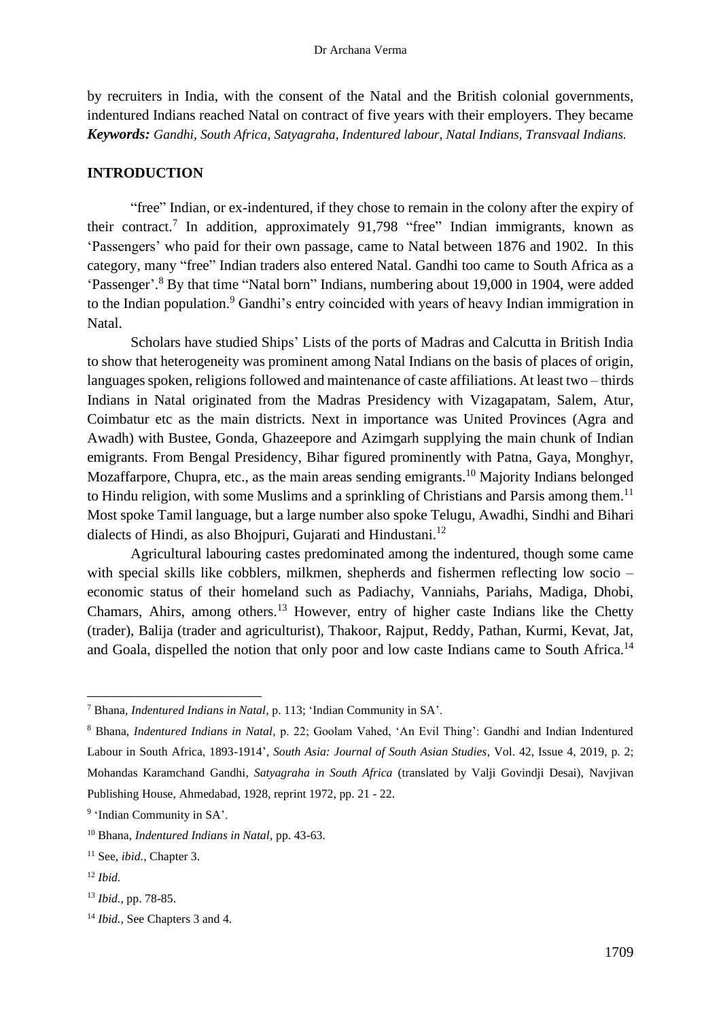by recruiters in India, with the consent of the Natal and the British colonial governments, indentured Indians reached Natal on contract of five years with their employers. They became *Keywords: Gandhi, South Africa, Satyagraha, Indentured labour, Natal Indians, Transvaal Indians.*

## **INTRODUCTION**

"free" Indian, or ex-indentured, if they chose to remain in the colony after the expiry of their contract.<sup>7</sup> In addition, approximately 91,798 "free" Indian immigrants, known as 'Passengers' who paid for their own passage, came to Natal between 1876 and 1902. In this category, many "free" Indian traders also entered Natal. Gandhi too came to South Africa as a 'Passenger'.<sup>8</sup> By that time "Natal born" Indians, numbering about 19,000 in 1904, were added to the Indian population.<sup>9</sup> Gandhi's entry coincided with years of heavy Indian immigration in Natal.

Scholars have studied Ships' Lists of the ports of Madras and Calcutta in British India to show that heterogeneity was prominent among Natal Indians on the basis of places of origin, languages spoken, religions followed and maintenance of caste affiliations. At least two – thirds Indians in Natal originated from the Madras Presidency with Vizagapatam, Salem, Atur, Coimbatur etc as the main districts. Next in importance was United Provinces (Agra and Awadh) with Bustee, Gonda, Ghazeepore and Azimgarh supplying the main chunk of Indian emigrants. From Bengal Presidency, Bihar figured prominently with Patna, Gaya, Monghyr, Mozaffarpore, Chupra, etc., as the main areas sending emigrants.<sup>10</sup> Majority Indians belonged to Hindu religion, with some Muslims and a sprinkling of Christians and Parsis among them.<sup>11</sup> Most spoke Tamil language, but a large number also spoke Telugu, Awadhi, Sindhi and Bihari dialects of Hindi, as also Bhojpuri, Gujarati and Hindustani.<sup>12</sup>

Agricultural labouring castes predominated among the indentured, though some came with special skills like cobblers, milkmen, shepherds and fishermen reflecting low socio – economic status of their homeland such as Padiachy, Vanniahs, Pariahs, Madiga, Dhobi, Chamars, Ahirs, among others.<sup>13</sup> However, entry of higher caste Indians like the Chetty (trader), Balija (trader and agriculturist), Thakoor, Rajput, Reddy, Pathan, Kurmi, Kevat, Jat, and Goala, dispelled the notion that only poor and low caste Indians came to South Africa.<sup>14</sup>

<sup>7</sup> Bhana, *Indentured Indians in Natal,* p. 113; 'Indian Community in SA'.

<sup>8</sup> Bhana, *Indentured Indians in Natal,* p. 22; Goolam Vahed, 'An Evil Thing': Gandhi and Indian Indentured Labour in South Africa, 1893-1914', *South Asia: Journal of South Asian Studies*, Vol. 42, Issue 4, 2019, p. 2; Mohandas Karamchand Gandhi, *Satyagraha in South Africa* (translated by Valji Govindji Desai), Navjivan Publishing House, Ahmedabad, 1928, reprint 1972, pp. 21 - 22.

<sup>&</sup>lt;sup>9</sup> 'Indian Community in SA'.

<sup>10</sup> Bhana, *Indentured Indians in Natal,* pp. 43-63.

<sup>11</sup> See, *ibid.*, Chapter 3.

<sup>12</sup> *Ibid.*

<sup>13</sup> *Ibid.,* pp. 78-85.

<sup>14</sup> *Ibid.*, See Chapters 3 and 4.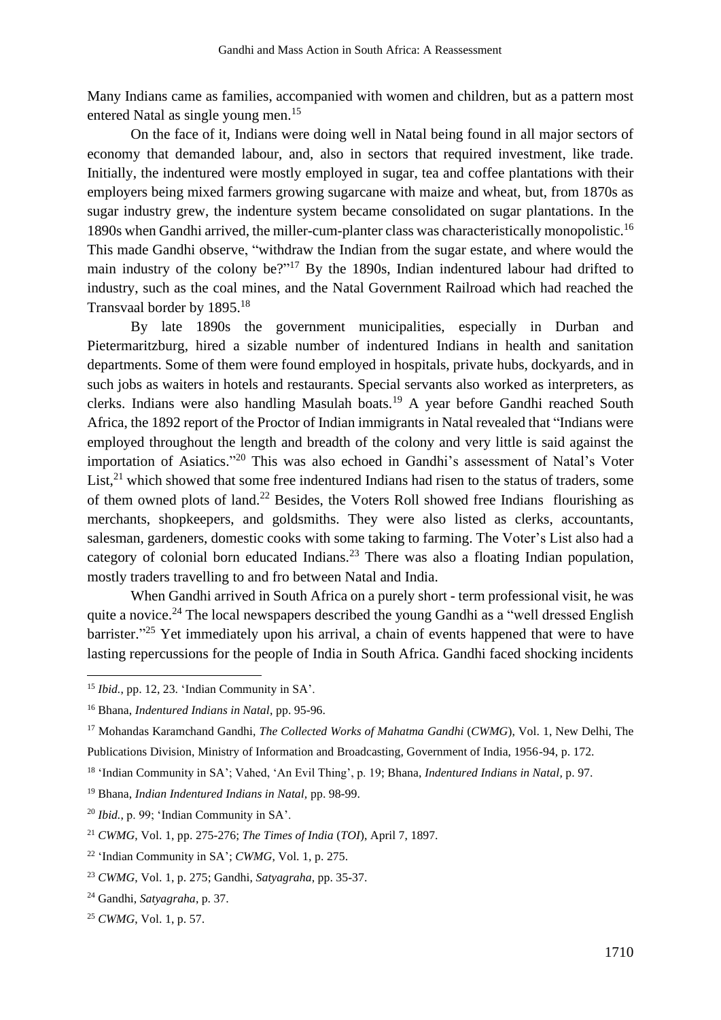Many Indians came as families, accompanied with women and children, but as a pattern most entered Natal as single young men.<sup>15</sup>

On the face of it, Indians were doing well in Natal being found in all major sectors of economy that demanded labour, and, also in sectors that required investment, like trade. Initially, the indentured were mostly employed in sugar, tea and coffee plantations with their employers being mixed farmers growing sugarcane with maize and wheat, but, from 1870s as sugar industry grew, the indenture system became consolidated on sugar plantations. In the 1890s when Gandhi arrived, the miller-cum-planter class was characteristically monopolistic.<sup>16</sup> This made Gandhi observe, "withdraw the Indian from the sugar estate, and where would the main industry of the colony be?"<sup>17</sup> By the 1890s, Indian indentured labour had drifted to industry, such as the coal mines, and the Natal Government Railroad which had reached the Transvaal border by 1895.<sup>18</sup>

By late 1890s the government municipalities, especially in Durban and Pietermaritzburg, hired a sizable number of indentured Indians in health and sanitation departments. Some of them were found employed in hospitals, private hubs, dockyards, and in such jobs as waiters in hotels and restaurants. Special servants also worked as interpreters, as clerks. Indians were also handling Masulah boats.<sup>19</sup> A year before Gandhi reached South Africa, the 1892 report of the Proctor of Indian immigrants in Natal revealed that "Indians were employed throughout the length and breadth of the colony and very little is said against the importation of Asiatics." <sup>20</sup> This was also echoed in Gandhi's assessment of Natal's Voter List,<sup>21</sup> which showed that some free indentured Indians had risen to the status of traders, some of them owned plots of land. <sup>22</sup> Besides, the Voters Roll showed free Indians flourishing as merchants, shopkeepers, and goldsmiths. They were also listed as clerks, accountants, salesman, gardeners, domestic cooks with some taking to farming. The Voter's List also had a category of colonial born educated Indians.<sup>23</sup> There was also a floating Indian population, mostly traders travelling to and fro between Natal and India.

When Gandhi arrived in South Africa on a purely short - term professional visit, he was quite a novice.<sup>24</sup> The local newspapers described the young Gandhi as a "well dressed English barrister."<sup>25</sup> Yet immediately upon his arrival, a chain of events happened that were to have lasting repercussions for the people of India in South Africa. Gandhi faced shocking incidents

<sup>15</sup> *Ibid.*, pp. 12, 23. 'Indian Community in SA'.

<sup>16</sup> Bhana, *Indentured Indians in Natal*, pp. 95-96.

<sup>17</sup> Mohandas Karamchand Gandhi, *The Collected Works of Mahatma Gandhi* (*CWMG*), Vol. 1, New Delhi, The Publications Division, Ministry of Information and Broadcasting, Government of India, 1956-94, p. 172.

<sup>18</sup> 'Indian Community in SA'; Vahed, 'An Evil Thing', p. 19; Bhana, *Indentured Indians in Natal,* p. 97.

<sup>19</sup> Bhana, *Indian Indentured Indians in Natal,* pp. 98-99.

<sup>20</sup> *Ibid.*, p. 99; 'Indian Community in SA'.

<sup>21</sup> *CWMG*, Vol. 1, pp. 275-276; *The Times of India* (*TOI*), April 7, 1897.

<sup>22</sup> 'Indian Community in SA'; *CWMG*, Vol. 1, p. 275.

<sup>23</sup> *CWMG*, Vol. 1, p. 275; Gandhi, *Satyagraha*, pp. 35-37.

<sup>24</sup> Gandhi, *Satyagraha*, p. 37.

<sup>25</sup> *CWMG*, Vol. 1, p. 57.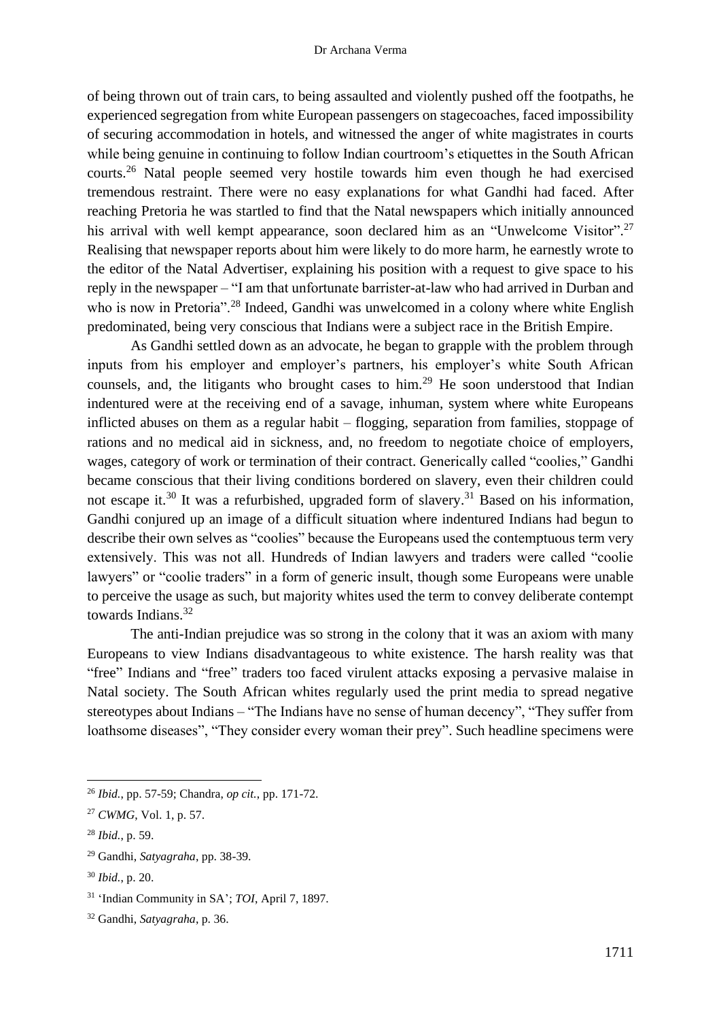of being thrown out of train cars, to being assaulted and violently pushed off the footpaths, he experienced segregation from white European passengers on stagecoaches, faced impossibility of securing accommodation in hotels, and witnessed the anger of white magistrates in courts while being genuine in continuing to follow Indian courtroom's etiquettes in the South African courts.<sup>26</sup> Natal people seemed very hostile towards him even though he had exercised tremendous restraint. There were no easy explanations for what Gandhi had faced. After reaching Pretoria he was startled to find that the Natal newspapers which initially announced his arrival with well kempt appearance, soon declared him as an "Unwelcome Visitor".<sup>27</sup> Realising that newspaper reports about him were likely to do more harm, he earnestly wrote to the editor of the Natal Advertiser, explaining his position with a request to give space to his reply in the newspaper – "I am that unfortunate barrister-at-law who had arrived in Durban and who is now in Pretoria".<sup>28</sup> Indeed, Gandhi was unwelcomed in a colony where white English predominated, being very conscious that Indians were a subject race in the British Empire.

As Gandhi settled down as an advocate, he began to grapple with the problem through inputs from his employer and employer's partners, his employer's white South African counsels, and, the litigants who brought cases to him.<sup>29</sup> He soon understood that Indian indentured were at the receiving end of a savage, inhuman, system where white Europeans inflicted abuses on them as a regular habit – flogging, separation from families, stoppage of rations and no medical aid in sickness, and, no freedom to negotiate choice of employers, wages, category of work or termination of their contract. Generically called "coolies," Gandhi became conscious that their living conditions bordered on slavery, even their children could not escape it.<sup>30</sup> It was a refurbished, upgraded form of slavery.<sup>31</sup> Based on his information, Gandhi conjured up an image of a difficult situation where indentured Indians had begun to describe their own selves as "coolies" because the Europeans used the contemptuous term very extensively. This was not all. Hundreds of Indian lawyers and traders were called "coolie lawyers" or "coolie traders" in a form of generic insult, though some Europeans were unable to perceive the usage as such, but majority whites used the term to convey deliberate contempt towards Indians.<sup>32</sup>

The anti-Indian prejudice was so strong in the colony that it was an axiom with many Europeans to view Indians disadvantageous to white existence. The harsh reality was that "free" Indians and "free" traders too faced virulent attacks exposing a pervasive malaise in Natal society. The South African whites regularly used the print media to spread negative stereotypes about Indians – "The Indians have no sense of human decency", "They suffer from loathsome diseases", "They consider every woman their prey". Such headline specimens were

<sup>26</sup> *Ibid.*, pp. 57-59; Chandra, *op cit.*, pp. 171-72.

<sup>27</sup> *CWMG*, Vol. 1, p. 57.

<sup>28</sup> *Ibid.*, p. 59.

<sup>29</sup> Gandhi, *Satyagraha*, pp. 38-39.

<sup>30</sup> *Ibid.*, p. 20.

<sup>31</sup> 'Indian Community in SA'; *TOI*, April 7, 1897.

<sup>32</sup> Gandhi, *Satyagraha*, p. 36.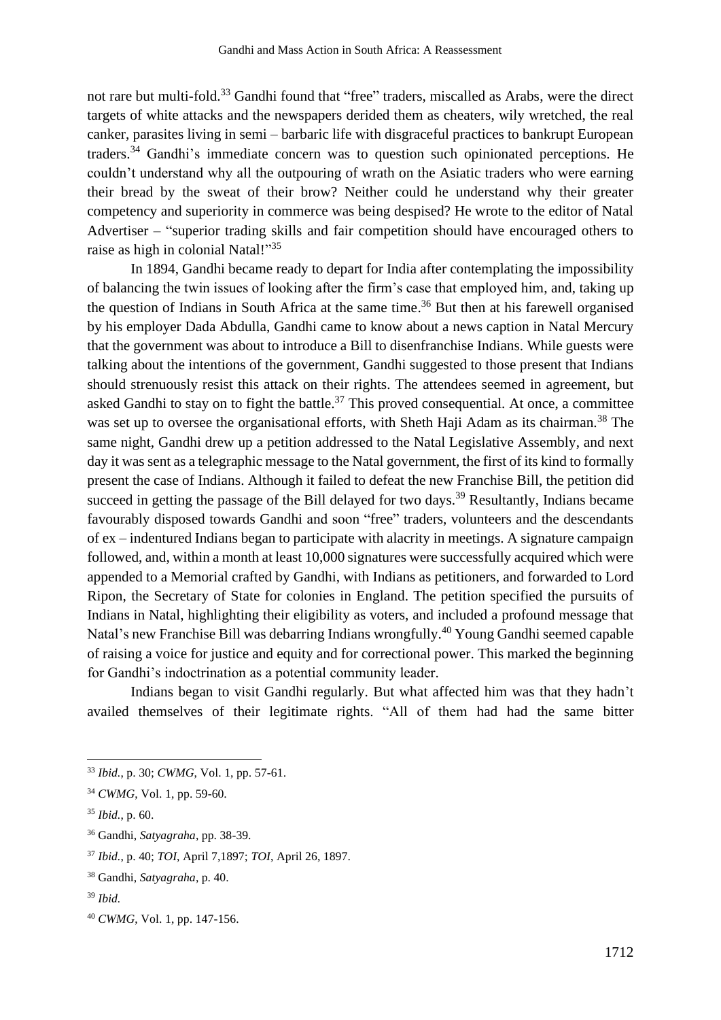not rare but multi-fold.<sup>33</sup> Gandhi found that "free" traders, miscalled as Arabs, were the direct targets of white attacks and the newspapers derided them as cheaters, wily wretched, the real canker, parasites living in semi – barbaric life with disgraceful practices to bankrupt European traders.<sup>34</sup> Gandhi's immediate concern was to question such opinionated perceptions. He couldn't understand why all the outpouring of wrath on the Asiatic traders who were earning their bread by the sweat of their brow? Neither could he understand why their greater competency and superiority in commerce was being despised? He wrote to the editor of Natal Advertiser – "superior trading skills and fair competition should have encouraged others to raise as high in colonial Natal!"35

In 1894, Gandhi became ready to depart for India after contemplating the impossibility of balancing the twin issues of looking after the firm's case that employed him, and, taking up the question of Indians in South Africa at the same time. <sup>36</sup> But then at his farewell organised by his employer Dada Abdulla, Gandhi came to know about a news caption in Natal Mercury that the government was about to introduce a Bill to disenfranchise Indians. While guests were talking about the intentions of the government, Gandhi suggested to those present that Indians should strenuously resist this attack on their rights. The attendees seemed in agreement, but asked Gandhi to stay on to fight the battle. $37$  This proved consequential. At once, a committee was set up to oversee the organisational efforts, with Sheth Haji Adam as its chairman.<sup>38</sup> The same night, Gandhi drew up a petition addressed to the Natal Legislative Assembly, and next day it was sent as a telegraphic message to the Natal government, the first of its kind to formally present the case of Indians. Although it failed to defeat the new Franchise Bill, the petition did succeed in getting the passage of the Bill delayed for two days.<sup>39</sup> Resultantly, Indians became favourably disposed towards Gandhi and soon "free" traders, volunteers and the descendants of ex – indentured Indians began to participate with alacrity in meetings. A signature campaign followed, and, within a month at least 10,000 signatures were successfully acquired which were appended to a Memorial crafted by Gandhi, with Indians as petitioners, and forwarded to Lord Ripon, the Secretary of State for colonies in England. The petition specified the pursuits of Indians in Natal, highlighting their eligibility as voters, and included a profound message that Natal's new Franchise Bill was debarring Indians wrongfully.<sup>40</sup> Young Gandhi seemed capable of raising a voice for justice and equity and for correctional power. This marked the beginning for Gandhi's indoctrination as a potential community leader.

Indians began to visit Gandhi regularly. But what affected him was that they hadn't availed themselves of their legitimate rights. "All of them had had the same bitter

<sup>33</sup> *Ibid.*, p. 30; *CWMG*, Vol. 1, pp. 57-61.

<sup>34</sup> *CWMG*, Vol. 1, pp. 59-60.

<sup>35</sup> *Ibid.*, p. 60.

<sup>36</sup> Gandhi, *Satyagraha*, pp. 38-39.

<sup>37</sup> *Ibid.*, p. 40; *TOI*, April 7,1897; *TOI*, April 26, 1897.

<sup>38</sup> Gandhi, *Satyagraha*, p. 40.

<sup>39</sup> *Ibid.*

<sup>40</sup> *CWMG*, Vol. 1, pp. 147-156.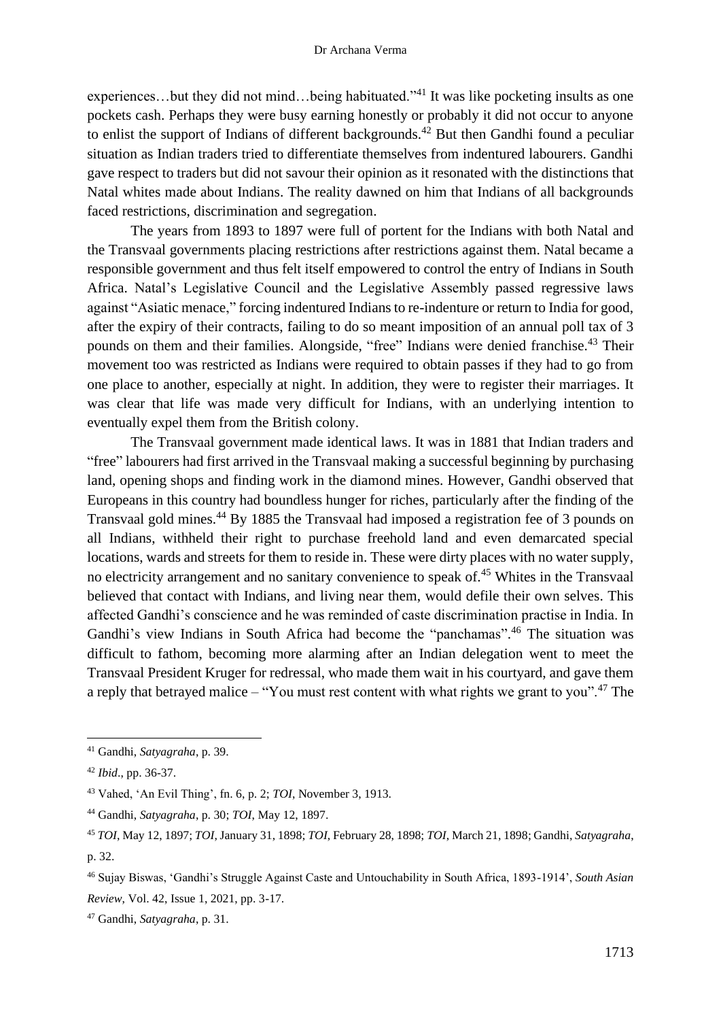experiences...but they did not mind...being habituated."<sup>41</sup> It was like pocketing insults as one pockets cash. Perhaps they were busy earning honestly or probably it did not occur to anyone to enlist the support of Indians of different backgrounds.<sup>42</sup> But then Gandhi found a peculiar situation as Indian traders tried to differentiate themselves from indentured labourers. Gandhi gave respect to traders but did not savour their opinion as it resonated with the distinctions that Natal whites made about Indians. The reality dawned on him that Indians of all backgrounds faced restrictions, discrimination and segregation.

The years from 1893 to 1897 were full of portent for the Indians with both Natal and the Transvaal governments placing restrictions after restrictions against them. Natal became a responsible government and thus felt itself empowered to control the entry of Indians in South Africa. Natal's Legislative Council and the Legislative Assembly passed regressive laws against "Asiatic menace," forcing indentured Indians to re-indenture or return to India for good, after the expiry of their contracts, failing to do so meant imposition of an annual poll tax of 3 pounds on them and their families. Alongside, "free" Indians were denied franchise.<sup>43</sup> Their movement too was restricted as Indians were required to obtain passes if they had to go from one place to another, especially at night. In addition, they were to register their marriages. It was clear that life was made very difficult for Indians, with an underlying intention to eventually expel them from the British colony.

The Transvaal government made identical laws. It was in 1881 that Indian traders and "free" labourers had first arrived in the Transvaal making a successful beginning by purchasing land, opening shops and finding work in the diamond mines. However, Gandhi observed that Europeans in this country had boundless hunger for riches, particularly after the finding of the Transvaal gold mines.<sup>44</sup> By 1885 the Transvaal had imposed a registration fee of 3 pounds on all Indians, withheld their right to purchase freehold land and even demarcated special locations, wards and streets for them to reside in. These were dirty places with no water supply, no electricity arrangement and no sanitary convenience to speak of.<sup>45</sup> Whites in the Transvaal believed that contact with Indians, and living near them, would defile their own selves. This affected Gandhi's conscience and he was reminded of caste discrimination practise in India. In Gandhi's view Indians in South Africa had become the "panchamas".<sup>46</sup> The situation was difficult to fathom, becoming more alarming after an Indian delegation went to meet the Transvaal President Kruger for redressal, who made them wait in his courtyard, and gave them a reply that betrayed malice – "You must rest content with what rights we grant to you".<sup>47</sup> The

<sup>41</sup> Gandhi, *Satyagraha*, p. 39.

<sup>42</sup> *Ibid*., pp. 36-37.

<sup>43</sup> Vahed, 'An Evil Thing', fn. 6, p. 2; *TOI*, November 3, 1913.

<sup>44</sup> Gandhi, *Satyagraha*, p. 30; *TOI*, May 12, 1897.

<sup>45</sup> *TOI*, May 12, 1897; *TOI*, January 31, 1898; *TOI*, February 28, 1898; *TOI*, March 21, 1898; Gandhi, *Satyagraha*, p. 32.

<sup>46</sup> Sujay Biswas, 'Gandhi's Struggle Against Caste and Untouchability in South Africa, 1893-1914', *South Asian Review*, Vol. 42, Issue 1, 2021, pp. 3-17.

<sup>47</sup> Gandhi, *Satyagraha*, p. 31.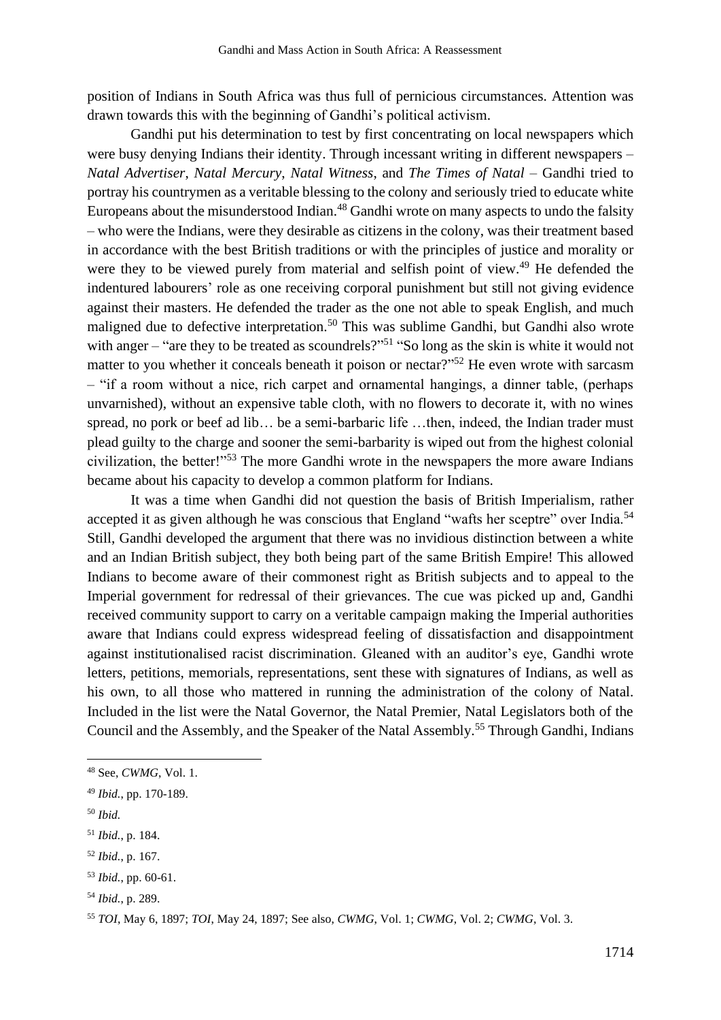position of Indians in South Africa was thus full of pernicious circumstances. Attention was drawn towards this with the beginning of Gandhi's political activism.

Gandhi put his determination to test by first concentrating on local newspapers which were busy denying Indians their identity. Through incessant writing in different newspapers – *Natal Advertiser*, *Natal Mercury*, *Natal Witness*, and *The Times of Natal* – Gandhi tried to portray his countrymen as a veritable blessing to the colony and seriously tried to educate white Europeans about the misunderstood Indian.<sup>48</sup> Gandhi wrote on many aspects to undo the falsity – who were the Indians, were they desirable as citizens in the colony, was their treatment based in accordance with the best British traditions or with the principles of justice and morality or were they to be viewed purely from material and selfish point of view.<sup>49</sup> He defended the indentured labourers' role as one receiving corporal punishment but still not giving evidence against their masters. He defended the trader as the one not able to speak English, and much maligned due to defective interpretation.<sup>50</sup> This was sublime Gandhi, but Gandhi also wrote with anger – "are they to be treated as scoundrels?"<sup>51</sup> "So long as the skin is white it would not matter to you whether it conceals beneath it poison or nectar?"<sup>52</sup> He even wrote with sarcasm – "if a room without a nice, rich carpet and ornamental hangings, a dinner table, (perhaps unvarnished), without an expensive table cloth, with no flowers to decorate it, with no wines spread, no pork or beef ad lib... be a semi-barbaric life ...then, indeed, the Indian trader must plead guilty to the charge and sooner the semi-barbarity is wiped out from the highest colonial civilization, the better!"<sup>53</sup> The more Gandhi wrote in the newspapers the more aware Indians became about his capacity to develop a common platform for Indians.

It was a time when Gandhi did not question the basis of British Imperialism, rather accepted it as given although he was conscious that England "wafts her sceptre" over India.<sup>54</sup> Still, Gandhi developed the argument that there was no invidious distinction between a white and an Indian British subject, they both being part of the same British Empire! This allowed Indians to become aware of their commonest right as British subjects and to appeal to the Imperial government for redressal of their grievances. The cue was picked up and, Gandhi received community support to carry on a veritable campaign making the Imperial authorities aware that Indians could express widespread feeling of dissatisfaction and disappointment against institutionalised racist discrimination. Gleaned with an auditor's eye, Gandhi wrote letters, petitions, memorials, representations, sent these with signatures of Indians, as well as his own, to all those who mattered in running the administration of the colony of Natal. Included in the list were the Natal Governor, the Natal Premier, Natal Legislators both of the Council and the Assembly, and the Speaker of the Natal Assembly.<sup>55</sup> Through Gandhi, Indians

<sup>50</sup> *Ibid.*

<sup>52</sup> *Ibid.*, p. 167.

<sup>48</sup> See, *CWMG*, Vol. 1.

<sup>49</sup> *Ibid.*, pp. 170-189.

<sup>51</sup> *Ibid.*, p. 184.

<sup>53</sup> *Ibid.*, pp. 60-61.

<sup>54</sup> *Ibid.*, p. 289.

<sup>55</sup> *TOI*, May 6, 1897; *TOI*, May 24, 1897; See also, *CWMG*, Vol. 1; *CWMG*, Vol. 2; *CWMG*, Vol. 3.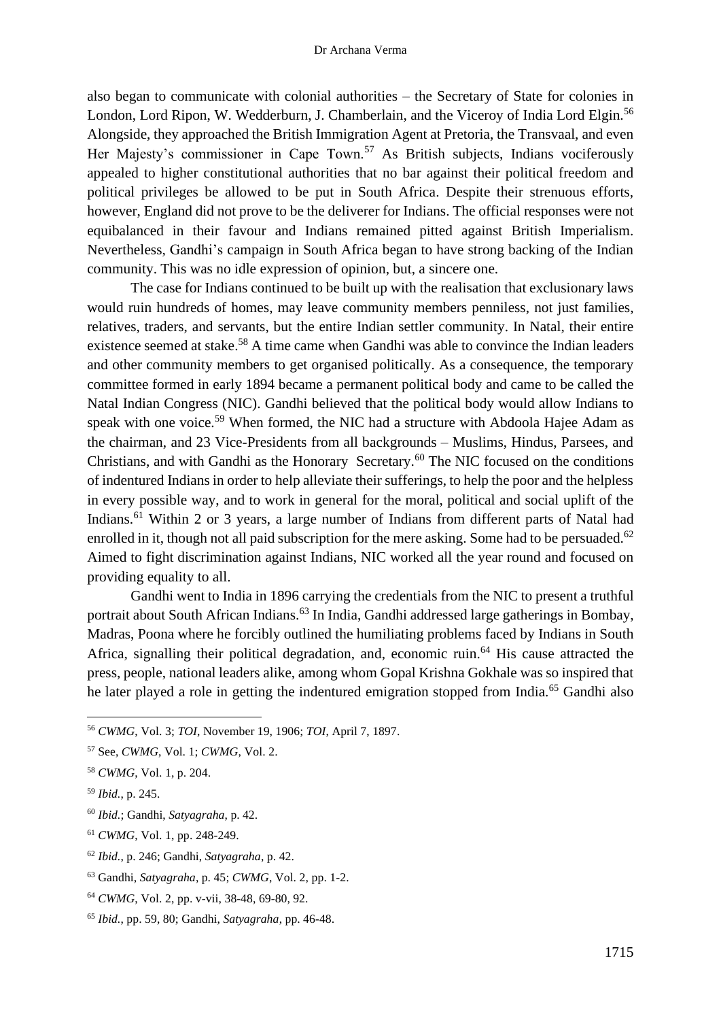also began to communicate with colonial authorities – the Secretary of State for colonies in London, Lord Ripon, W. Wedderburn, J. Chamberlain, and the Viceroy of India Lord Elgin.<sup>56</sup> Alongside, they approached the British Immigration Agent at Pretoria, the Transvaal, and even Her Majesty's commissioner in Cape Town.<sup>57</sup> As British subjects, Indians vociferously appealed to higher constitutional authorities that no bar against their political freedom and political privileges be allowed to be put in South Africa. Despite their strenuous efforts, however, England did not prove to be the deliverer for Indians. The official responses were not equibalanced in their favour and Indians remained pitted against British Imperialism. Nevertheless, Gandhi's campaign in South Africa began to have strong backing of the Indian community. This was no idle expression of opinion, but, a sincere one.

The case for Indians continued to be built up with the realisation that exclusionary laws would ruin hundreds of homes, may leave community members penniless, not just families, relatives, traders, and servants, but the entire Indian settler community. In Natal, their entire existence seemed at stake.<sup>58</sup> A time came when Gandhi was able to convince the Indian leaders and other community members to get organised politically. As a consequence, the temporary committee formed in early 1894 became a permanent political body and came to be called the Natal Indian Congress (NIC). Gandhi believed that the political body would allow Indians to speak with one voice.<sup>59</sup> When formed, the NIC had a structure with Abdoola Hajee Adam as the chairman, and 23 Vice-Presidents from all backgrounds – Muslims, Hindus, Parsees, and Christians, and with Gandhi as the Honorary Secretary. <sup>60</sup> The NIC focused on the conditions of indentured Indians in order to help alleviate their sufferings, to help the poor and the helpless in every possible way, and to work in general for the moral, political and social uplift of the Indians.<sup>61</sup> Within 2 or 3 years, a large number of Indians from different parts of Natal had enrolled in it, though not all paid subscription for the mere asking. Some had to be persuaded.<sup>62</sup> Aimed to fight discrimination against Indians, NIC worked all the year round and focused on providing equality to all.

Gandhi went to India in 1896 carrying the credentials from the NIC to present a truthful portrait about South African Indians.<sup>63</sup> In India, Gandhi addressed large gatherings in Bombay, Madras, Poona where he forcibly outlined the humiliating problems faced by Indians in South Africa, signalling their political degradation, and, economic ruin. <sup>64</sup> His cause attracted the press, people, national leaders alike, among whom Gopal Krishna Gokhale was so inspired that he later played a role in getting the indentured emigration stopped from India.<sup>65</sup> Gandhi also

<sup>62</sup> *Ibid.*, p. 246; Gandhi, *Satyagraha*, p. 42.

<sup>56</sup> *CWMG*, Vol. 3; *TOI*, November 19, 1906; *TOI*, April 7, 1897.

<sup>57</sup> See, *CWMG*, Vol. 1; *CWMG*, Vol. 2.

<sup>58</sup> *CWMG*, Vol. 1, p. 204.

<sup>59</sup> *Ibid.*, p. 245.

<sup>60</sup> *Ibid.*; Gandhi, *Satyagraha*, p. 42.

<sup>61</sup> *CWMG*, Vol. 1, pp. 248-249.

<sup>63</sup> Gandhi, *Satyagraha*, p. 45; *CWMG*, Vol. 2, pp. 1-2.

<sup>64</sup> *CWMG*, Vol. 2, pp. v-vii, 38-48, 69-80, 92.

<sup>65</sup> *Ibid.*, pp. 59, 80; Gandhi, *Satyagraha*, pp. 46-48.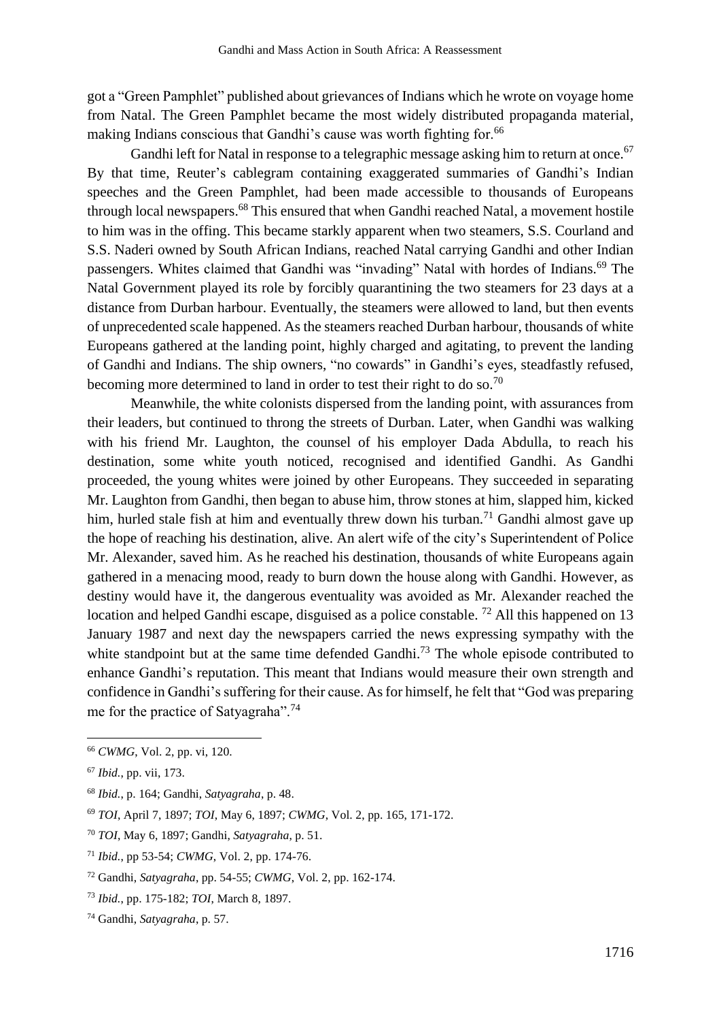got a "Green Pamphlet" published about grievances of Indians which he wrote on voyage home from Natal. The Green Pamphlet became the most widely distributed propaganda material, making Indians conscious that Gandhi's cause was worth fighting for.<sup>66</sup>

Gandhi left for Natal in response to a telegraphic message asking him to return at once.<sup>67</sup> By that time, Reuter's cablegram containing exaggerated summaries of Gandhi's Indian speeches and the Green Pamphlet, had been made accessible to thousands of Europeans through local newspapers.<sup>68</sup> This ensured that when Gandhi reached Natal, a movement hostile to him was in the offing. This became starkly apparent when two steamers, S.S. Courland and S.S. Naderi owned by South African Indians, reached Natal carrying Gandhi and other Indian passengers. Whites claimed that Gandhi was "invading" Natal with hordes of Indians.<sup>69</sup> The Natal Government played its role by forcibly quarantining the two steamers for 23 days at a distance from Durban harbour. Eventually, the steamers were allowed to land, but then events of unprecedented scale happened. As the steamers reached Durban harbour, thousands of white Europeans gathered at the landing point, highly charged and agitating, to prevent the landing of Gandhi and Indians. The ship owners, "no cowards" in Gandhi's eyes, steadfastly refused, becoming more determined to land in order to test their right to do so.<sup>70</sup>

Meanwhile, the white colonists dispersed from the landing point, with assurances from their leaders, but continued to throng the streets of Durban. Later, when Gandhi was walking with his friend Mr. Laughton, the counsel of his employer Dada Abdulla, to reach his destination, some white youth noticed, recognised and identified Gandhi. As Gandhi proceeded, the young whites were joined by other Europeans. They succeeded in separating Mr. Laughton from Gandhi, then began to abuse him, throw stones at him, slapped him, kicked him, hurled stale fish at him and eventually threw down his turban.<sup>71</sup> Gandhi almost gave up the hope of reaching his destination, alive. An alert wife of the city's Superintendent of Police Mr. Alexander, saved him. As he reached his destination, thousands of white Europeans again gathered in a menacing mood, ready to burn down the house along with Gandhi. However, as destiny would have it, the dangerous eventuality was avoided as Mr. Alexander reached the location and helped Gandhi escape, disguised as a police constable.<sup>72</sup> All this happened on 13 January 1987 and next day the newspapers carried the news expressing sympathy with the white standpoint but at the same time defended Gandhi.<sup>73</sup> The whole episode contributed to enhance Gandhi's reputation. This meant that Indians would measure their own strength and confidence in Gandhi's suffering for their cause. As for himself, he felt that "God was preparing me for the practice of Satyagraha".<sup>74</sup>

<sup>66</sup> *CWMG*, Vol. 2, pp. vi, 120.

<sup>67</sup> *Ibid.*, pp. vii, 173.

<sup>68</sup> *Ibid.*, p. 164; Gandhi, *Satyagraha*, p. 48.

<sup>69</sup> *TOI*, April 7, 1897; *TOI*, May 6, 1897; *CWMG*, Vol. 2, pp. 165, 171-172.

<sup>70</sup> *TOI*, May 6, 1897; Gandhi, *Satyagraha*, p. 51.

<sup>71</sup> *Ibid.*, pp 53-54; *CWMG*, Vol. 2, pp. 174-76.

<sup>72</sup> Gandhi, *Satyagraha*, pp. 54-55; *CWMG*, Vol. 2, pp. 162-174.

<sup>73</sup> *Ibid.*, pp. 175-182; *TOI*, March 8, 1897.

<sup>74</sup> Gandhi, *Satyagraha*, p. 57.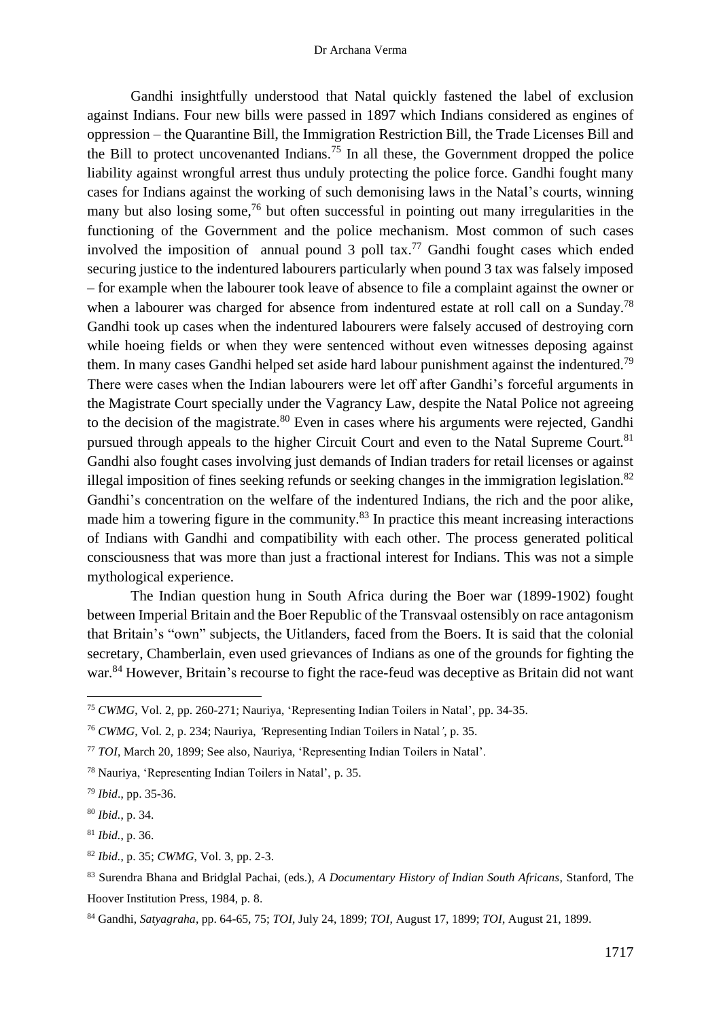Gandhi insightfully understood that Natal quickly fastened the label of exclusion against Indians. Four new bills were passed in 1897 which Indians considered as engines of oppression – the Quarantine Bill, the Immigration Restriction Bill, the Trade Licenses Bill and the Bill to protect uncovenanted Indians.<sup>75</sup> In all these, the Government dropped the police liability against wrongful arrest thus unduly protecting the police force. Gandhi fought many cases for Indians against the working of such demonising laws in the Natal's courts, winning many but also losing some,<sup>76</sup> but often successful in pointing out many irregularities in the functioning of the Government and the police mechanism. Most common of such cases involved the imposition of annual pound  $3$  poll tax.<sup>77</sup> Gandhi fought cases which ended securing justice to the indentured labourers particularly when pound 3 tax was falsely imposed – for example when the labourer took leave of absence to file a complaint against the owner or when a labourer was charged for absence from indentured estate at roll call on a Sunday.<sup>78</sup> Gandhi took up cases when the indentured labourers were falsely accused of destroying corn while hoeing fields or when they were sentenced without even witnesses deposing against them. In many cases Gandhi helped set aside hard labour punishment against the indentured.<sup>79</sup> There were cases when the Indian labourers were let off after Gandhi's forceful arguments in the Magistrate Court specially under the Vagrancy Law, despite the Natal Police not agreeing to the decision of the magistrate.<sup>80</sup> Even in cases where his arguments were rejected, Gandhi pursued through appeals to the higher Circuit Court and even to the Natal Supreme Court.<sup>81</sup> Gandhi also fought cases involving just demands of Indian traders for retail licenses or against illegal imposition of fines seeking refunds or seeking changes in the immigration legislation.<sup>82</sup> Gandhi's concentration on the welfare of the indentured Indians, the rich and the poor alike, made him a towering figure in the community.<sup>83</sup> In practice this meant increasing interactions of Indians with Gandhi and compatibility with each other. The process generated political consciousness that was more than just a fractional interest for Indians. This was not a simple mythological experience.

The Indian question hung in South Africa during the Boer war (1899-1902) fought between Imperial Britain and the Boer Republic of the Transvaal ostensibly on race antagonism that Britain's "own" subjects, the Uitlanders, faced from the Boers. It is said that the colonial secretary, Chamberlain, even used grievances of Indians as one of the grounds for fighting the war.<sup>84</sup> However, Britain's recourse to fight the race-feud was deceptive as Britain did not want

<sup>75</sup> *CWMG*, Vol. 2, pp. 260-271; Nauriya, 'Representing Indian Toilers in Natal', pp. 34-35.

<sup>76</sup> *CWMG,* Vol*.* 2, p. 234; Nauriya, *'*Representing Indian Toilers in Natal*'*, p. 35.

<sup>77</sup> *TOI*, March 20, 1899; See also, Nauriya, 'Representing Indian Toilers in Natal'.

<sup>78</sup> Nauriya, 'Representing Indian Toilers in Natal', p. 35.

<sup>79</sup> *Ibid*., pp. 35-36.

<sup>80</sup> *Ibid.*, p. 34.

<sup>81</sup> *Ibid.*, p. 36.

<sup>82</sup> *Ibid.*, p. 35; *CWMG*, Vol. 3, pp. 2-3.

<sup>83</sup> Surendra Bhana and Bridglal Pachai, (eds.), *A Documentary History of Indian South Africans*, Stanford, The Hoover Institution Press, 1984, p. 8.

<sup>84</sup> Gandhi, *Satyagraha*, pp. 64-65, 75; *TOI*, July 24, 1899; *TOI*, August 17, 1899; *TOI*, August 21, 1899.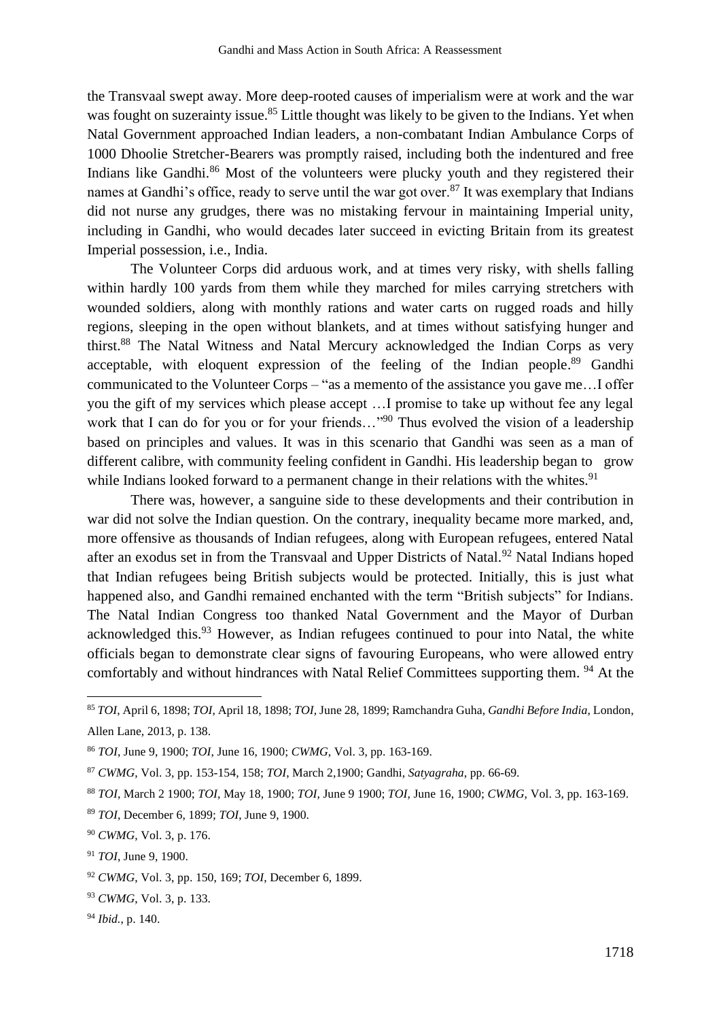the Transvaal swept away. More deep-rooted causes of imperialism were at work and the war was fought on suzerainty issue.<sup>85</sup> Little thought was likely to be given to the Indians. Yet when Natal Government approached Indian leaders, a non-combatant Indian Ambulance Corps of 1000 Dhoolie Stretcher-Bearers was promptly raised, including both the indentured and free Indians like Gandhi.<sup>86</sup> Most of the volunteers were plucky youth and they registered their names at Gandhi's office, ready to serve until the war got over.<sup>87</sup> It was exemplary that Indians did not nurse any grudges, there was no mistaking fervour in maintaining Imperial unity, including in Gandhi, who would decades later succeed in evicting Britain from its greatest Imperial possession, i.e., India.

The Volunteer Corps did arduous work, and at times very risky, with shells falling within hardly 100 yards from them while they marched for miles carrying stretchers with wounded soldiers, along with monthly rations and water carts on rugged roads and hilly regions, sleeping in the open without blankets, and at times without satisfying hunger and thirst.<sup>88</sup> The Natal Witness and Natal Mercury acknowledged the Indian Corps as very acceptable, with eloquent expression of the feeling of the Indian people.<sup>89</sup> Gandhi communicated to the Volunteer Corps – "as a memento of the assistance you gave me…I offer you the gift of my services which please accept …I promise to take up without fee any legal work that I can do for you or for your friends..."<sup>90</sup> Thus evolved the vision of a leadership based on principles and values. It was in this scenario that Gandhi was seen as a man of different calibre, with community feeling confident in Gandhi. His leadership began to grow while Indians looked forward to a permanent change in their relations with the whites.<sup>91</sup>

There was, however, a sanguine side to these developments and their contribution in war did not solve the Indian question. On the contrary, inequality became more marked, and, more offensive as thousands of Indian refugees, along with European refugees, entered Natal after an exodus set in from the Transvaal and Upper Districts of Natal.<sup>92</sup> Natal Indians hoped that Indian refugees being British subjects would be protected. Initially, this is just what happened also, and Gandhi remained enchanted with the term "British subjects" for Indians. The Natal Indian Congress too thanked Natal Government and the Mayor of Durban acknowledged this.<sup>93</sup> However, as Indian refugees continued to pour into Natal, the white officials began to demonstrate clear signs of favouring Europeans, who were allowed entry comfortably and without hindrances with Natal Relief Committees supporting them.<sup>94</sup> At the

<sup>85</sup> *TOI*, April 6, 1898; *TOI*, April 18, 1898; *TOI*, June 28, 1899; Ramchandra Guha, *Gandhi Before India*, London, Allen Lane, 2013, p. 138.

<sup>86</sup> *TOI*, June 9, 1900; *TOI*, June 16, 1900; *CWMG*, Vol. 3, pp. 163-169.

<sup>87</sup> *CWMG*, Vol. 3, pp. 153-154, 158; *TOI*, March 2,1900; Gandhi, *Satyagraha*, pp. 66-69.

<sup>88</sup> *TOI*, March 2 1900; *TOI*, May 18, 1900; *TOI*, June 9 1900; *TOI,* June 16, 1900; *CWMG*, Vol. 3, pp. 163-169.

<sup>89</sup> *TOI*, December 6, 1899; *TOI*, June 9, 1900.

<sup>90</sup> *CWMG*, Vol. 3, p. 176.

<sup>91</sup> *TOI*, June 9, 1900.

<sup>92</sup> *CWMG*, Vol. 3, pp. 150, 169; *TOI*, December 6, 1899.

<sup>93</sup> *CWMG*, Vol. 3, p. 133.

<sup>94</sup> *Ibid.*, p. 140.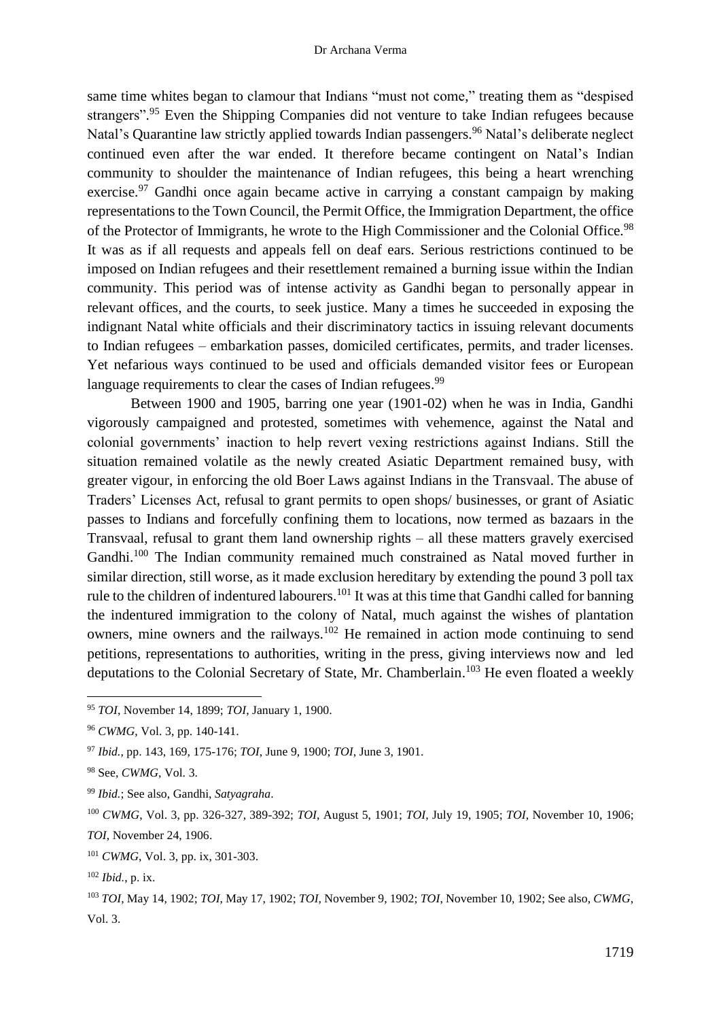same time whites began to clamour that Indians "must not come," treating them as "despised strangers".<sup>95</sup> Even the Shipping Companies did not venture to take Indian refugees because Natal's Quarantine law strictly applied towards Indian passengers.<sup>96</sup> Natal's deliberate neglect continued even after the war ended. It therefore became contingent on Natal's Indian community to shoulder the maintenance of Indian refugees, this being a heart wrenching exercise.<sup>97</sup> Gandhi once again became active in carrying a constant campaign by making representations to the Town Council, the Permit Office, the Immigration Department, the office of the Protector of Immigrants, he wrote to the High Commissioner and the Colonial Office.<sup>98</sup> It was as if all requests and appeals fell on deaf ears. Serious restrictions continued to be imposed on Indian refugees and their resettlement remained a burning issue within the Indian community. This period was of intense activity as Gandhi began to personally appear in relevant offices, and the courts, to seek justice. Many a times he succeeded in exposing the indignant Natal white officials and their discriminatory tactics in issuing relevant documents to Indian refugees – embarkation passes, domiciled certificates, permits, and trader licenses. Yet nefarious ways continued to be used and officials demanded visitor fees or European language requirements to clear the cases of Indian refugees.<sup>99</sup>

Between 1900 and 1905, barring one year (1901-02) when he was in India, Gandhi vigorously campaigned and protested, sometimes with vehemence, against the Natal and colonial governments' inaction to help revert vexing restrictions against Indians. Still the situation remained volatile as the newly created Asiatic Department remained busy, with greater vigour, in enforcing the old Boer Laws against Indians in the Transvaal. The abuse of Traders' Licenses Act, refusal to grant permits to open shops/ businesses, or grant of Asiatic passes to Indians and forcefully confining them to locations, now termed as bazaars in the Transvaal, refusal to grant them land ownership rights – all these matters gravely exercised Gandhi.<sup>100</sup> The Indian community remained much constrained as Natal moved further in similar direction, still worse, as it made exclusion hereditary by extending the pound 3 poll tax rule to the children of indentured labourers.<sup>101</sup> It was at this time that Gandhi called for banning the indentured immigration to the colony of Natal, much against the wishes of plantation owners, mine owners and the railways.<sup>102</sup> He remained in action mode continuing to send petitions, representations to authorities, writing in the press, giving interviews now and led deputations to the Colonial Secretary of State, Mr. Chamberlain.<sup>103</sup> He even floated a weekly

<sup>95</sup> *TOI*, November 14, 1899; *TOI*, January 1, 1900.

<sup>96</sup> *CWMG*, Vol. 3, pp. 140-141.

<sup>97</sup> *Ibid.*, pp. 143, 169, 175-176; *TOI*, June 9, 1900; *TOI*, June 3, 1901.

<sup>98</sup> See, *CWMG*, Vol. 3.

<sup>99</sup> *Ibid.*; See also, Gandhi, *Satyagraha*.

<sup>100</sup> *CWMG*, Vol. 3, pp. 326-327, 389-392; *TOI*, August 5, 1901; *TOI*, July 19, 1905; *TOI*, November 10, 1906; *TOI*, November 24, 1906.

<sup>101</sup> *CWMG*, Vol. 3, pp. ix, 301-303.

<sup>102</sup> *Ibid.*, p. ix.

<sup>103</sup> *TOI*, May 14, 1902; *TOI*, May 17, 1902; *TOI*, November 9, 1902; *TOI*, November 10, 1902; See also, *CWMG*, Vol. 3.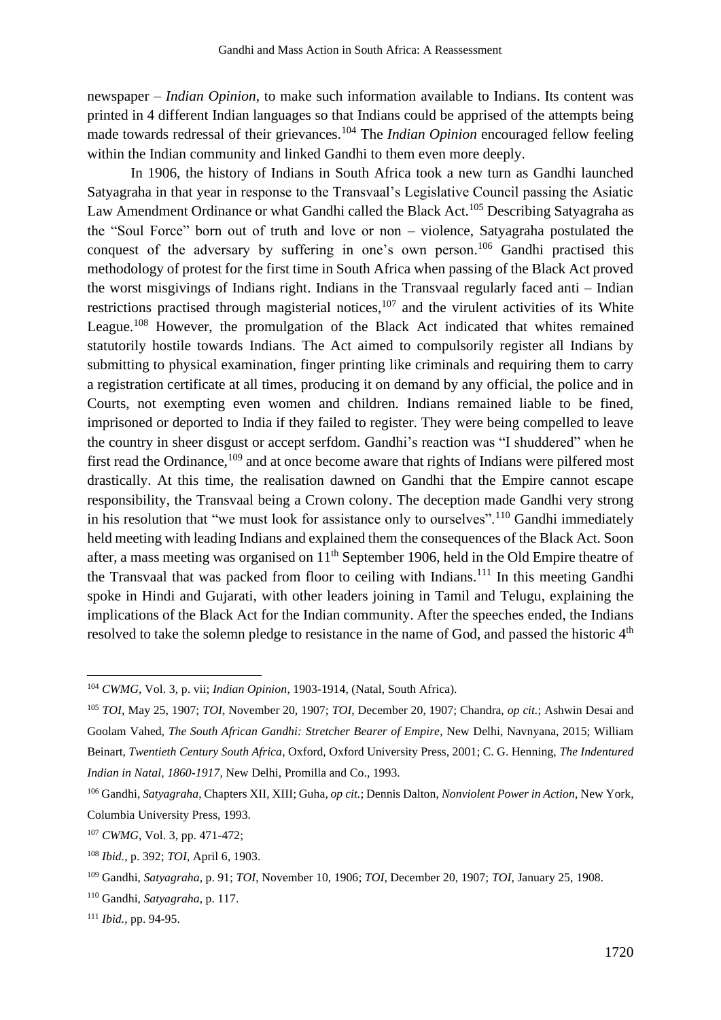newspaper – *Indian Opinion*, to make such information available to Indians. Its content was printed in 4 different Indian languages so that Indians could be apprised of the attempts being made towards redressal of their grievances. <sup>104</sup> The *Indian Opinion* encouraged fellow feeling within the Indian community and linked Gandhi to them even more deeply.

In 1906, the history of Indians in South Africa took a new turn as Gandhi launched Satyagraha in that year in response to the Transvaal's Legislative Council passing the Asiatic Law Amendment Ordinance or what Gandhi called the Black Act.<sup>105</sup> Describing Satyagraha as the "Soul Force" born out of truth and love or non – violence, Satyagraha postulated the conquest of the adversary by suffering in one's own person.<sup>106</sup> Gandhi practised this methodology of protest for the first time in South Africa when passing of the Black Act proved the worst misgivings of Indians right. Indians in the Transvaal regularly faced anti – Indian restrictions practised through magisterial notices,  $107$  and the virulent activities of its White League.<sup>108</sup> However, the promulgation of the Black Act indicated that whites remained statutorily hostile towards Indians. The Act aimed to compulsorily register all Indians by submitting to physical examination, finger printing like criminals and requiring them to carry a registration certificate at all times, producing it on demand by any official, the police and in Courts, not exempting even women and children. Indians remained liable to be fined, imprisoned or deported to India if they failed to register. They were being compelled to leave the country in sheer disgust or accept serfdom. Gandhi's reaction was "I shuddered" when he first read the Ordinance,<sup>109</sup> and at once become aware that rights of Indians were pilfered most drastically. At this time, the realisation dawned on Gandhi that the Empire cannot escape responsibility, the Transvaal being a Crown colony. The deception made Gandhi very strong in his resolution that "we must look for assistance only to ourselves".<sup>110</sup> Gandhi immediately held meeting with leading Indians and explained them the consequences of the Black Act. Soon after, a mass meeting was organised on  $11<sup>th</sup>$  September 1906, held in the Old Empire theatre of the Transvaal that was packed from floor to ceiling with Indians.<sup>111</sup> In this meeting Gandhi spoke in Hindi and Gujarati, with other leaders joining in Tamil and Telugu, explaining the implications of the Black Act for the Indian community. After the speeches ended, the Indians resolved to take the solemn pledge to resistance in the name of God, and passed the historic 4<sup>th</sup>

<sup>104</sup> *CWMG*, Vol. 3, p. vii; *Indian Opinion*, 1903-1914, (Natal, South Africa).

<sup>105</sup> *TOI*, May 25, 1907; *TOI*, November 20, 1907; *TOI*, December 20, 1907; Chandra, *op cit.*; Ashwin Desai and Goolam Vahed, *The South African Gandhi: Stretcher Bearer of Empire*, New Delhi, Navnyana, 2015; William Beinart, *Twentieth Century South Africa*, Oxford, Oxford University Press, 2001; C. G. Henning, *The Indentured Indian in Natal, 1860-1917*, New Delhi, Promilla and Co., 1993.

<sup>106</sup> Gandhi, *Satyagraha*, Chapters XII, XIII; Guha, *op cit.*; Dennis Dalton, *Nonviolent Power in Action*, New York, Columbia University Press, 1993.

<sup>107</sup> *CWMG*, Vol. 3, pp. 471-472;

<sup>108</sup> *Ibid.*, p. 392; *TOI*, April 6, 1903.

<sup>109</sup> Gandhi, *Satyagraha*, p. 91; *TOI*, November 10, 1906; *TOI*, December 20, 1907; *TOI*, January 25, 1908.

<sup>110</sup> Gandhi, *Satyagraha*, p. 117.

<sup>111</sup> *Ibid.*, pp. 94-95.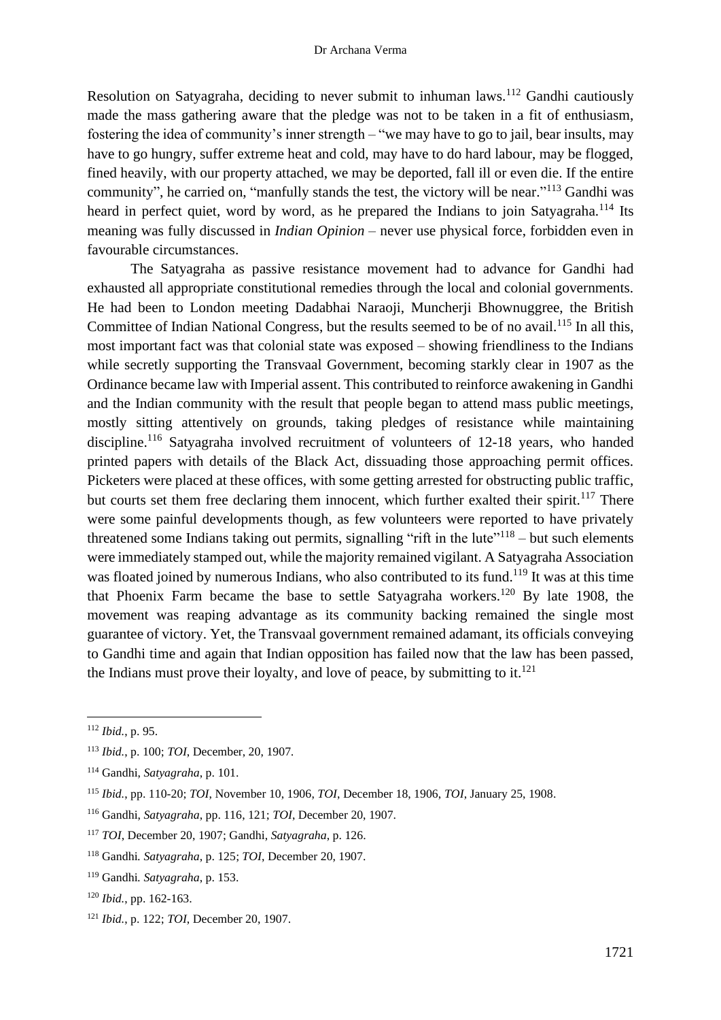Resolution on Satyagraha, deciding to never submit to inhuman laws.<sup>112</sup> Gandhi cautiously made the mass gathering aware that the pledge was not to be taken in a fit of enthusiasm, fostering the idea of community's inner strength – "we may have to go to jail, bear insults, may have to go hungry, suffer extreme heat and cold, may have to do hard labour, may be flogged, fined heavily, with our property attached, we may be deported, fall ill or even die. If the entire community", he carried on, "manfully stands the test, the victory will be near."<sup>113</sup> Gandhi was heard in perfect quiet, word by word, as he prepared the Indians to join Satyagraha.<sup>114</sup> Its meaning was fully discussed in *Indian Opinion* – never use physical force, forbidden even in favourable circumstances.

The Satyagraha as passive resistance movement had to advance for Gandhi had exhausted all appropriate constitutional remedies through the local and colonial governments. He had been to London meeting Dadabhai Naraoji, Muncherji Bhownuggree, the British Committee of Indian National Congress, but the results seemed to be of no avail.<sup>115</sup> In all this, most important fact was that colonial state was exposed – showing friendliness to the Indians while secretly supporting the Transvaal Government, becoming starkly clear in 1907 as the Ordinance became law with Imperial assent. This contributed to reinforce awakening in Gandhi and the Indian community with the result that people began to attend mass public meetings, mostly sitting attentively on grounds, taking pledges of resistance while maintaining discipline.<sup>116</sup> Satyagraha involved recruitment of volunteers of 12-18 years, who handed printed papers with details of the Black Act, dissuading those approaching permit offices. Picketers were placed at these offices, with some getting arrested for obstructing public traffic, but courts set them free declaring them innocent, which further exalted their spirit.<sup>117</sup> There were some painful developments though, as few volunteers were reported to have privately threatened some Indians taking out permits, signalling "rift in the lute"<sup> $118$ </sup> – but such elements were immediately stamped out, while the majority remained vigilant. A Satyagraha Association was floated joined by numerous Indians, who also contributed to its fund.<sup>119</sup> It was at this time that Phoenix Farm became the base to settle Satyagraha workers.<sup>120</sup> By late 1908, the movement was reaping advantage as its community backing remained the single most guarantee of victory. Yet, the Transvaal government remained adamant, its officials conveying to Gandhi time and again that Indian opposition has failed now that the law has been passed, the Indians must prove their loyalty, and love of peace, by submitting to it.<sup>121</sup>

<sup>112</sup> *Ibid.*, p. 95.

<sup>113</sup> *Ibid.*, p. 100; *TOI*, December, 20, 1907*.*

<sup>114</sup> Gandhi, *Satyagraha*, p. 101.

<sup>115</sup> *Ibid.*, pp. 110-20; *TOI*, November 10, 1906, *TOI*, December 18, 1906, *TOI*, January 25, 1908.

<sup>116</sup> Gandhi, *Satyagraha*, pp. 116, 121; *TOI*, December 20, 1907.

<sup>117</sup> *TOI*, December 20, 1907; Gandhi, *Satyagraha*, p. 126.

<sup>118</sup> Gandhi*. Satyagraha*, p. 125; *TOI*, December 20, 1907.

<sup>119</sup> Gandhi*. Satyagraha*, p. 153.

<sup>120</sup> *Ibid.*, pp. 162-163.

<sup>121</sup> *Ibid.*, p. 122; *TOI*, December 20, 1907.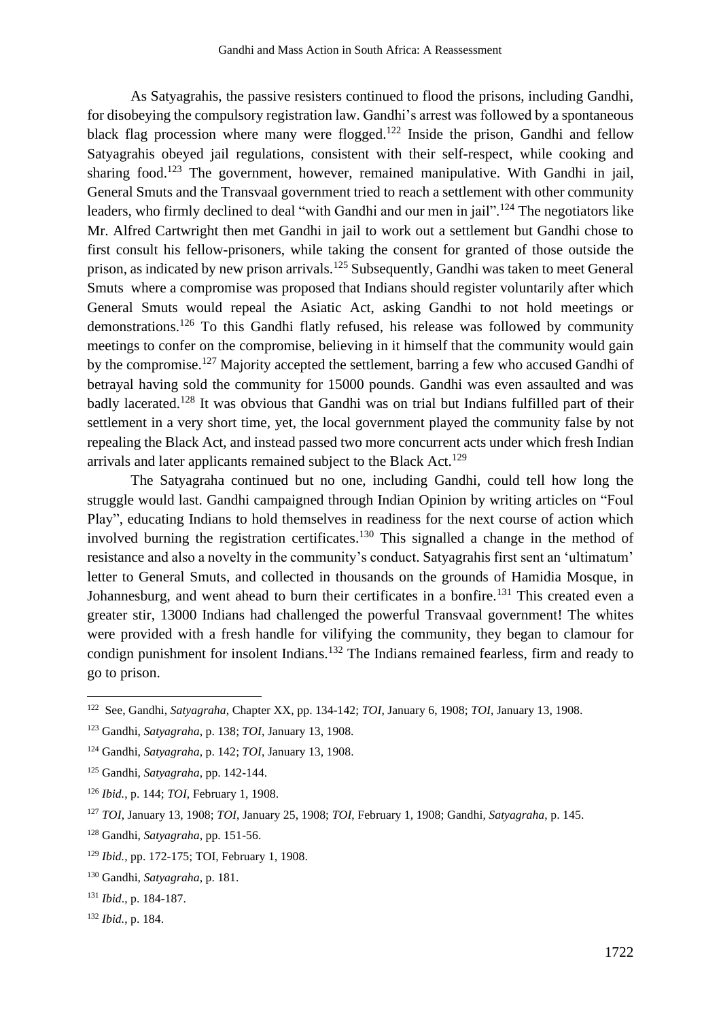As Satyagrahis, the passive resisters continued to flood the prisons, including Gandhi, for disobeying the compulsory registration law. Gandhi's arrest was followed by a spontaneous black flag procession where many were flogged.<sup>122</sup> Inside the prison, Gandhi and fellow Satyagrahis obeyed jail regulations, consistent with their self-respect, while cooking and sharing food.<sup>123</sup> The government, however, remained manipulative. With Gandhi in jail, General Smuts and the Transvaal government tried to reach a settlement with other community leaders, who firmly declined to deal "with Gandhi and our men in jail".<sup>124</sup> The negotiators like Mr. Alfred Cartwright then met Gandhi in jail to work out a settlement but Gandhi chose to first consult his fellow-prisoners, while taking the consent for granted of those outside the prison, as indicated by new prison arrivals.<sup>125</sup> Subsequently, Gandhi was taken to meet General Smuts where a compromise was proposed that Indians should register voluntarily after which General Smuts would repeal the Asiatic Act, asking Gandhi to not hold meetings or demonstrations.<sup>126</sup> To this Gandhi flatly refused, his release was followed by community meetings to confer on the compromise, believing in it himself that the community would gain by the compromise.<sup>127</sup> Majority accepted the settlement, barring a few who accused Gandhi of betrayal having sold the community for 15000 pounds. Gandhi was even assaulted and was badly lacerated.<sup>128</sup> It was obvious that Gandhi was on trial but Indians fulfilled part of their settlement in a very short time, yet, the local government played the community false by not repealing the Black Act, and instead passed two more concurrent acts under which fresh Indian arrivals and later applicants remained subject to the Black Act.<sup>129</sup>

The Satyagraha continued but no one, including Gandhi, could tell how long the struggle would last. Gandhi campaigned through Indian Opinion by writing articles on "Foul Play", educating Indians to hold themselves in readiness for the next course of action which involved burning the registration certificates.<sup>130</sup> This signalled a change in the method of resistance and also a novelty in the community's conduct. Satyagrahis first sent an 'ultimatum' letter to General Smuts, and collected in thousands on the grounds of Hamidia Mosque, in Johannesburg, and went ahead to burn their certificates in a bonfire.<sup>131</sup> This created even a greater stir, 13000 Indians had challenged the powerful Transvaal government! The whites were provided with a fresh handle for vilifying the community, they began to clamour for condign punishment for insolent Indians.<sup>132</sup> The Indians remained fearless, firm and ready to go to prison.

<sup>122</sup> See, Gandhi, *Satyagraha*, Chapter XX, pp. 134-142; *TOI*, January 6, 1908; *TOI*, January 13, 1908.

<sup>123</sup> Gandhi, *Satyagraha*, p. 138; *TOI*, January 13, 1908.

<sup>124</sup> Gandhi, *Satyagraha*, p. 142; *TOI*, January 13, 1908.

<sup>125</sup> Gandhi, *Satyagraha*, pp. 142-144.

<sup>126</sup> *Ibid.*, p. 144; *TOI*, February 1, 1908.

<sup>127</sup> *TOI*, January 13, 1908; *TOI*, January 25, 1908; *TOI*, February 1, 1908; Gandhi, *Satyagraha*, p. 145.

<sup>128</sup> Gandhi, *Satyagraha*, pp. 151-56.

<sup>129</sup> *Ibid.*, pp. 172-175; TOI, February 1, 1908.

<sup>130</sup> Gandhi*, Satyagraha*, p. 181.

<sup>131</sup> *Ibid*., p. 184-187.

<sup>132</sup> *Ibid.*, p. 184.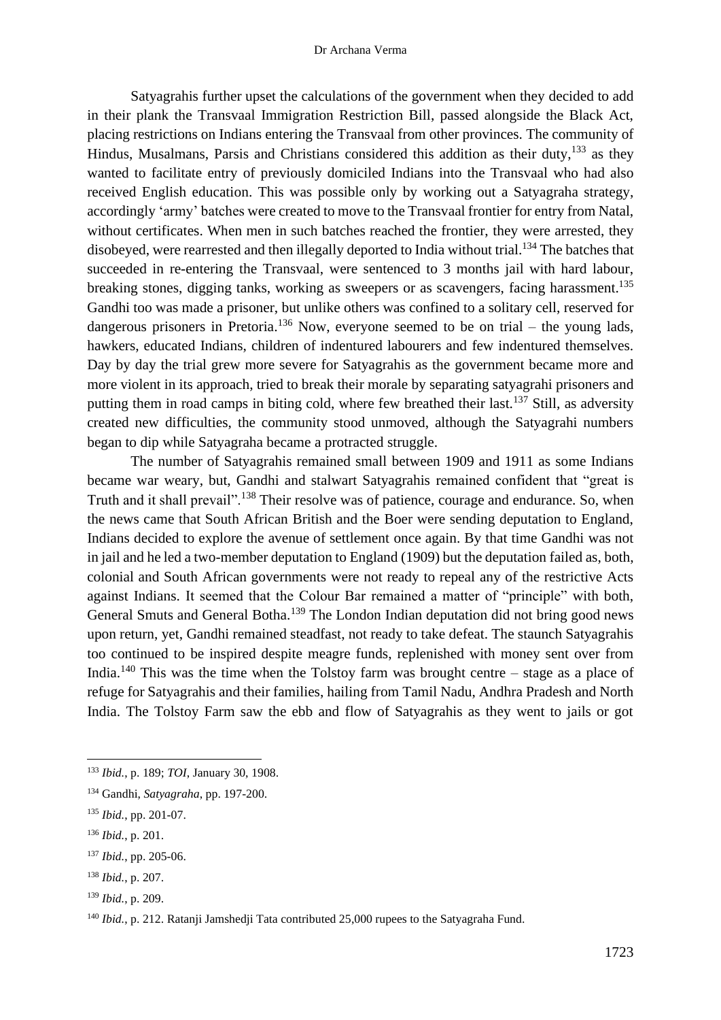Satyagrahis further upset the calculations of the government when they decided to add in their plank the Transvaal Immigration Restriction Bill, passed alongside the Black Act, placing restrictions on Indians entering the Transvaal from other provinces. The community of Hindus, Musalmans, Parsis and Christians considered this addition as their duty,<sup>133</sup> as they wanted to facilitate entry of previously domiciled Indians into the Transvaal who had also received English education. This was possible only by working out a Satyagraha strategy, accordingly 'army' batches were created to move to the Transvaal frontier for entry from Natal, without certificates. When men in such batches reached the frontier, they were arrested, they disobeyed, were rearrested and then illegally deported to India without trial.<sup>134</sup> The batches that succeeded in re-entering the Transvaal, were sentenced to 3 months jail with hard labour, breaking stones, digging tanks, working as sweepers or as scavengers, facing harassment.<sup>135</sup> Gandhi too was made a prisoner, but unlike others was confined to a solitary cell, reserved for dangerous prisoners in Pretoria.<sup>136</sup> Now, everyone seemed to be on trial – the young lads, hawkers, educated Indians, children of indentured labourers and few indentured themselves. Day by day the trial grew more severe for Satyagrahis as the government became more and more violent in its approach, tried to break their morale by separating satyagrahi prisoners and putting them in road camps in biting cold, where few breathed their last.<sup>137</sup> Still, as adversity created new difficulties, the community stood unmoved, although the Satyagrahi numbers began to dip while Satyagraha became a protracted struggle.

The number of Satyagrahis remained small between 1909 and 1911 as some Indians became war weary, but, Gandhi and stalwart Satyagrahis remained confident that "great is Truth and it shall prevail".<sup>138</sup> Their resolve was of patience, courage and endurance. So, when the news came that South African British and the Boer were sending deputation to England, Indians decided to explore the avenue of settlement once again. By that time Gandhi was not in jail and he led a two-member deputation to England (1909) but the deputation failed as, both, colonial and South African governments were not ready to repeal any of the restrictive Acts against Indians. It seemed that the Colour Bar remained a matter of "principle" with both, General Smuts and General Botha.<sup>139</sup> The London Indian deputation did not bring good news upon return, yet, Gandhi remained steadfast, not ready to take defeat. The staunch Satyagrahis too continued to be inspired despite meagre funds, replenished with money sent over from India.<sup>140</sup> This was the time when the Tolstoy farm was brought centre – stage as a place of refuge for Satyagrahis and their families, hailing from Tamil Nadu, Andhra Pradesh and North India. The Tolstoy Farm saw the ebb and flow of Satyagrahis as they went to jails or got

<sup>133</sup> *Ibid.*, p. 189; *TOI*, January 30, 1908.

<sup>134</sup> Gandhi, *Satyagraha*, pp. 197-200.

<sup>135</sup> *Ibid.*, pp. 201-07.

<sup>136</sup> *Ibid.*, p. 201.

<sup>137</sup> *Ibid.*, pp. 205-06.

<sup>138</sup> *Ibid.*, p. 207.

<sup>139</sup> *Ibid.*, p. 209.

<sup>&</sup>lt;sup>140</sup> *Ibid.*, p. 212. Ratanji Jamshedji Tata contributed 25,000 rupees to the Satyagraha Fund.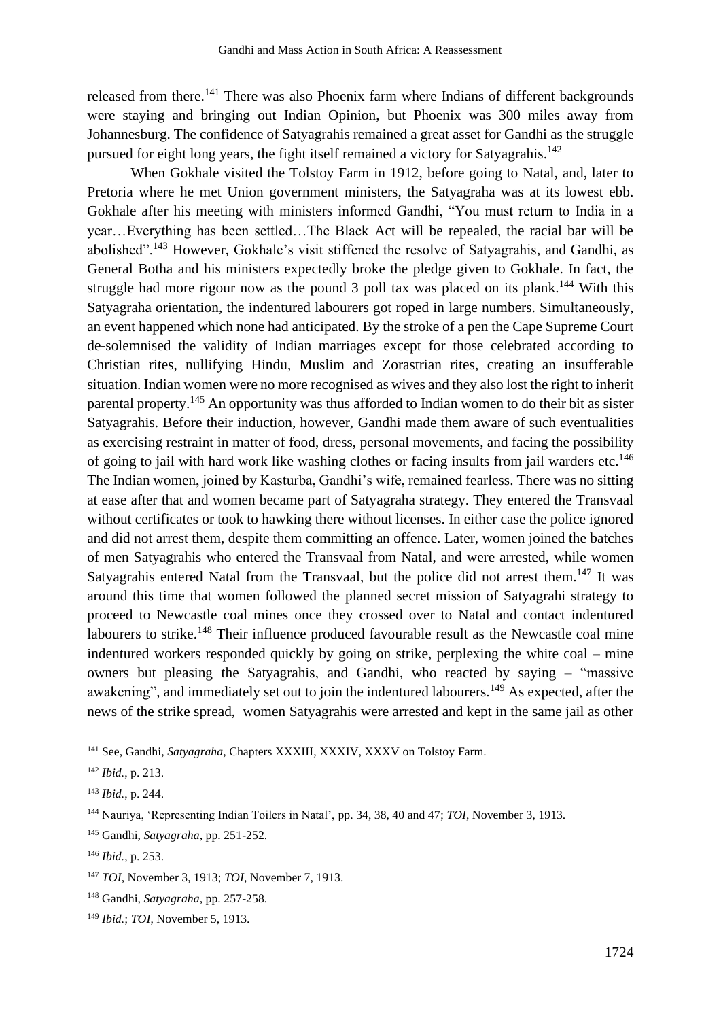released from there.<sup>141</sup> There was also Phoenix farm where Indians of different backgrounds were staying and bringing out Indian Opinion, but Phoenix was 300 miles away from Johannesburg. The confidence of Satyagrahis remained a great asset for Gandhi as the struggle pursued for eight long years, the fight itself remained a victory for Satyagrahis.<sup>142</sup>

When Gokhale visited the Tolstoy Farm in 1912, before going to Natal, and, later to Pretoria where he met Union government ministers, the Satyagraha was at its lowest ebb. Gokhale after his meeting with ministers informed Gandhi, "You must return to India in a year…Everything has been settled…The Black Act will be repealed, the racial bar will be abolished".<sup>143</sup> However, Gokhale's visit stiffened the resolve of Satyagrahis, and Gandhi, as General Botha and his ministers expectedly broke the pledge given to Gokhale. In fact, the struggle had more rigour now as the pound 3 poll tax was placed on its plank.<sup>144</sup> With this Satyagraha orientation, the indentured labourers got roped in large numbers. Simultaneously, an event happened which none had anticipated. By the stroke of a pen the Cape Supreme Court de-solemnised the validity of Indian marriages except for those celebrated according to Christian rites, nullifying Hindu, Muslim and Zorastrian rites, creating an insufferable situation. Indian women were no more recognised as wives and they also lost the right to inherit parental property.<sup>145</sup> An opportunity was thus afforded to Indian women to do their bit as sister Satyagrahis. Before their induction, however, Gandhi made them aware of such eventualities as exercising restraint in matter of food, dress, personal movements, and facing the possibility of going to jail with hard work like washing clothes or facing insults from jail warders etc.<sup>146</sup> The Indian women, joined by Kasturba, Gandhi's wife, remained fearless. There was no sitting at ease after that and women became part of Satyagraha strategy. They entered the Transvaal without certificates or took to hawking there without licenses. In either case the police ignored and did not arrest them, despite them committing an offence. Later, women joined the batches of men Satyagrahis who entered the Transvaal from Natal, and were arrested, while women Satyagrahis entered Natal from the Transvaal, but the police did not arrest them.<sup>147</sup> It was around this time that women followed the planned secret mission of Satyagrahi strategy to proceed to Newcastle coal mines once they crossed over to Natal and contact indentured labourers to strike.<sup>148</sup> Their influence produced favourable result as the Newcastle coal mine indentured workers responded quickly by going on strike, perplexing the white coal – mine owners but pleasing the Satyagrahis, and Gandhi, who reacted by saying – "massive awakening", and immediately set out to join the indentured labourers.<sup>149</sup> As expected, after the news of the strike spread, women Satyagrahis were arrested and kept in the same jail as other

<sup>&</sup>lt;sup>141</sup> See, Gandhi, *Satyagraha*, Chapters XXXIII, XXXIV, XXXV on Tolstov Farm.

<sup>142</sup> *Ibid.*, p. 213.

<sup>143</sup> *Ibid.*, p. 244.

<sup>144</sup> Nauriya, 'Representing Indian Toilers in Natal', pp. 34, 38, 40 and 47; *TOI*, November 3, 1913.

<sup>145</sup> Gandhi, *Satyagraha*, pp. 251-252.

<sup>146</sup> *Ibid.*, p. 253.

<sup>147</sup> *TOI*, November 3, 1913; *TOI*, November 7, 1913.

<sup>148</sup> Gandhi, *Satyagraha*, pp. 257-258.

<sup>149</sup> *Ibid.*; *TOI*, November 5, 1913.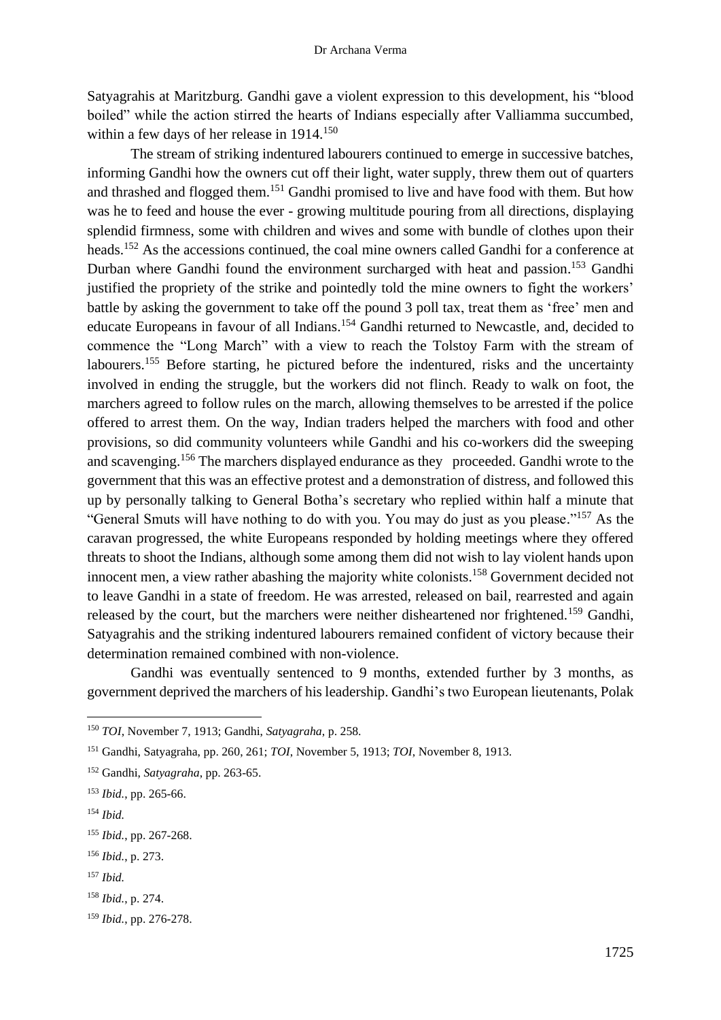Satyagrahis at Maritzburg. Gandhi gave a violent expression to this development, his "blood boiled" while the action stirred the hearts of Indians especially after Valliamma succumbed, within a few days of her release in 1914.<sup>150</sup>

The stream of striking indentured labourers continued to emerge in successive batches, informing Gandhi how the owners cut off their light, water supply, threw them out of quarters and thrashed and flogged them.<sup>151</sup> Gandhi promised to live and have food with them. But how was he to feed and house the ever - growing multitude pouring from all directions, displaying splendid firmness, some with children and wives and some with bundle of clothes upon their heads.<sup>152</sup> As the accessions continued, the coal mine owners called Gandhi for a conference at Durban where Gandhi found the environment surcharged with heat and passion.<sup>153</sup> Gandhi justified the propriety of the strike and pointedly told the mine owners to fight the workers' battle by asking the government to take off the pound 3 poll tax, treat them as 'free' men and educate Europeans in favour of all Indians.<sup>154</sup> Gandhi returned to Newcastle, and, decided to commence the "Long March" with a view to reach the Tolstoy Farm with the stream of labourers.<sup>155</sup> Before starting, he pictured before the indentured, risks and the uncertainty involved in ending the struggle, but the workers did not flinch. Ready to walk on foot, the marchers agreed to follow rules on the march, allowing themselves to be arrested if the police offered to arrest them. On the way, Indian traders helped the marchers with food and other provisions, so did community volunteers while Gandhi and his co-workers did the sweeping and scavenging.<sup>156</sup> The marchers displayed endurance as they proceeded. Gandhi wrote to the government that this was an effective protest and a demonstration of distress, and followed this up by personally talking to General Botha's secretary who replied within half a minute that "General Smuts will have nothing to do with you. You may do just as you please."<sup>157</sup> As the caravan progressed, the white Europeans responded by holding meetings where they offered threats to shoot the Indians, although some among them did not wish to lay violent hands upon innocent men, a view rather abashing the majority white colonists.<sup>158</sup> Government decided not to leave Gandhi in a state of freedom. He was arrested, released on bail, rearrested and again released by the court, but the marchers were neither disheartened nor frightened.<sup>159</sup> Gandhi, Satyagrahis and the striking indentured labourers remained confident of victory because their determination remained combined with non-violence.

Gandhi was eventually sentenced to 9 months, extended further by 3 months, as government deprived the marchers of his leadership. Gandhi's two European lieutenants, Polak

<sup>154</sup> *Ibid.*

<sup>156</sup> *Ibid.*, p. 273.

<sup>150</sup> *TOI*, November 7, 1913; Gandhi, *Satyagraha*, p. 258.

<sup>151</sup> Gandhi, Satyagraha, pp. 260, 261; *TOI*, November 5, 1913; *TOI*, November 8, 1913.

<sup>152</sup> Gandhi, *Satyagraha*, pp. 263-65.

<sup>153</sup> *Ibid.*, pp. 265-66.

<sup>155</sup> *Ibid.*, pp. 267-268.

<sup>157</sup> *Ibid.*

<sup>158</sup> *Ibid.*, p. 274.

<sup>159</sup> *Ibid.*, pp. 276-278.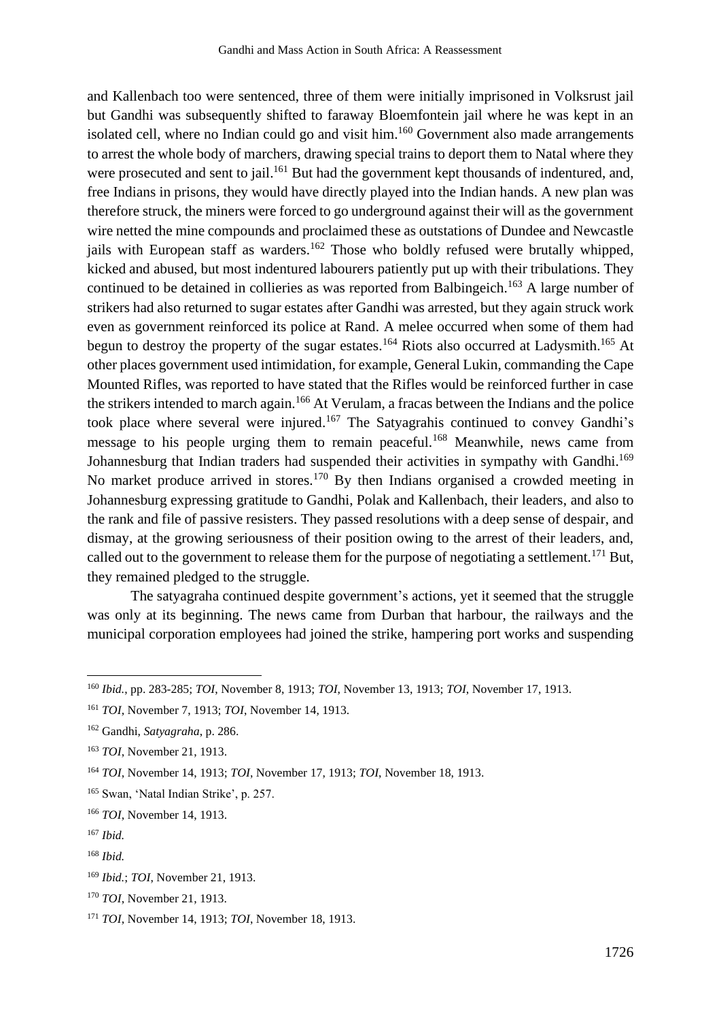and Kallenbach too were sentenced, three of them were initially imprisoned in Volksrust jail but Gandhi was subsequently shifted to faraway Bloemfontein jail where he was kept in an isolated cell, where no Indian could go and visit him.<sup>160</sup> Government also made arrangements to arrest the whole body of marchers, drawing special trains to deport them to Natal where they were prosecuted and sent to jail.<sup>161</sup> But had the government kept thousands of indentured, and, free Indians in prisons, they would have directly played into the Indian hands. A new plan was therefore struck, the miners were forced to go underground against their will as the government wire netted the mine compounds and proclaimed these as outstations of Dundee and Newcastle jails with European staff as warders.<sup>162</sup> Those who boldly refused were brutally whipped, kicked and abused, but most indentured labourers patiently put up with their tribulations. They continued to be detained in collieries as was reported from Balbingeich.<sup>163</sup> A large number of strikers had also returned to sugar estates after Gandhi was arrested, but they again struck work even as government reinforced its police at Rand. A melee occurred when some of them had begun to destroy the property of the sugar estates.<sup>164</sup> Riots also occurred at Ladysmith.<sup>165</sup> At other places government used intimidation, for example, General Lukin, commanding the Cape Mounted Rifles, was reported to have stated that the Rifles would be reinforced further in case the strikers intended to march again.<sup>166</sup> At Verulam, a fracas between the Indians and the police took place where several were injured.<sup>167</sup> The Satyagrahis continued to convey Gandhi's message to his people urging them to remain peaceful.<sup>168</sup> Meanwhile, news came from Johannesburg that Indian traders had suspended their activities in sympathy with Gandhi.<sup>169</sup> No market produce arrived in stores.<sup>170</sup> By then Indians organised a crowded meeting in Johannesburg expressing gratitude to Gandhi, Polak and Kallenbach, their leaders, and also to the rank and file of passive resisters. They passed resolutions with a deep sense of despair, and dismay, at the growing seriousness of their position owing to the arrest of their leaders, and, called out to the government to release them for the purpose of negotiating a settlement.<sup>171</sup> But, they remained pledged to the struggle.

The satyagraha continued despite government's actions, yet it seemed that the struggle was only at its beginning. The news came from Durban that harbour, the railways and the municipal corporation employees had joined the strike, hampering port works and suspending

<sup>160</sup> *Ibid.*, pp. 283-285; *TOI*, November 8, 1913; *TOI*, November 13, 1913; *TOI*, November 17, 1913.

<sup>161</sup> *TOI*, November 7, 1913; *TOI*, November 14, 1913.

<sup>162</sup> Gandhi, *Satyagraha*, p. 286.

<sup>163</sup> *TOI*, November 21, 1913.

<sup>164</sup> *TOI*, November 14, 1913; *TOI*, November 17, 1913; *TOI*, November 18, 1913.

<sup>165</sup> Swan, 'Natal Indian Strike', p. 257.

<sup>166</sup> *TOI*, November 14, 1913.

<sup>167</sup> *Ibid.*

<sup>168</sup> *Ibid.*

<sup>169</sup> *Ibid.*; *TOI*, November 21, 1913.

<sup>170</sup> *TOI*, November 21, 1913.

<sup>171</sup> *TOI*, November 14, 1913; *TOI*, November 18, 1913.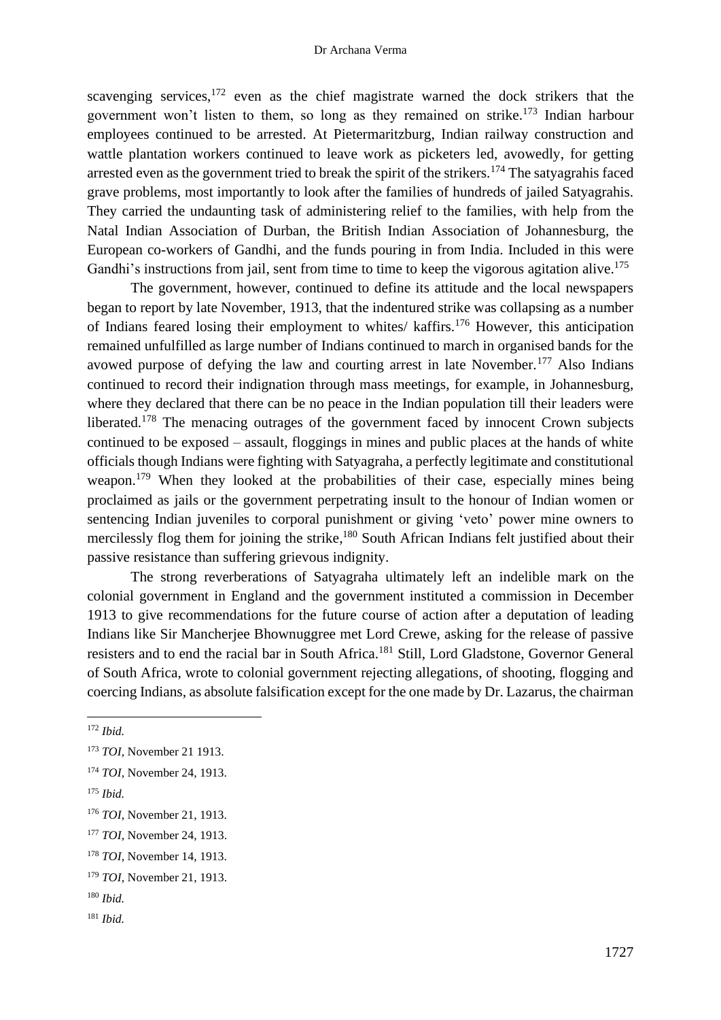scavenging services,<sup>172</sup> even as the chief magistrate warned the dock strikers that the government won't listen to them, so long as they remained on strike.<sup>173</sup> Indian harbour employees continued to be arrested. At Pietermaritzburg, Indian railway construction and wattle plantation workers continued to leave work as picketers led, avowedly, for getting arrested even as the government tried to break the spirit of the strikers.<sup>174</sup> The satyagrahis faced grave problems, most importantly to look after the families of hundreds of jailed Satyagrahis. They carried the undaunting task of administering relief to the families, with help from the Natal Indian Association of Durban, the British Indian Association of Johannesburg, the European co-workers of Gandhi, and the funds pouring in from India. Included in this were Gandhi's instructions from jail, sent from time to time to keep the vigorous agitation alive.<sup>175</sup>

The government, however, continued to define its attitude and the local newspapers began to report by late November, 1913, that the indentured strike was collapsing as a number of Indians feared losing their employment to whites/ kaffirs. <sup>176</sup> However, this anticipation remained unfulfilled as large number of Indians continued to march in organised bands for the avowed purpose of defying the law and courting arrest in late November.<sup>177</sup> Also Indians continued to record their indignation through mass meetings, for example, in Johannesburg, where they declared that there can be no peace in the Indian population till their leaders were liberated.<sup>178</sup> The menacing outrages of the government faced by innocent Crown subjects continued to be exposed – assault, floggings in mines and public places at the hands of white officials though Indians were fighting with Satyagraha, a perfectly legitimate and constitutional weapon.<sup>179</sup> When they looked at the probabilities of their case, especially mines being proclaimed as jails or the government perpetrating insult to the honour of Indian women or sentencing Indian juveniles to corporal punishment or giving 'veto' power mine owners to mercilessly flog them for joining the strike,<sup>180</sup> South African Indians felt justified about their passive resistance than suffering grievous indignity.

The strong reverberations of Satyagraha ultimately left an indelible mark on the colonial government in England and the government instituted a commission in December 1913 to give recommendations for the future course of action after a deputation of leading Indians like Sir Mancherjee Bhownuggree met Lord Crewe, asking for the release of passive resisters and to end the racial bar in South Africa. <sup>181</sup> Still, Lord Gladstone, Governor General of South Africa, wrote to colonial government rejecting allegations, of shooting, flogging and coercing Indians, as absolute falsification except for the one made by Dr. Lazarus, the chairman

<sup>175</sup> *Ibid.*

<sup>181</sup> *Ibid.*

<sup>172</sup> *Ibid.*

<sup>173</sup> *TOI*, November 21 1913.

<sup>174</sup> *TOI*, November 24, 1913.

<sup>176</sup> *TOI*, November 21, 1913.

<sup>177</sup> *TOI*, November 24, 1913.

<sup>178</sup> *TOI*, November 14, 1913.

<sup>179</sup> *TOI*, November 21, 1913.

<sup>180</sup> *Ibid.*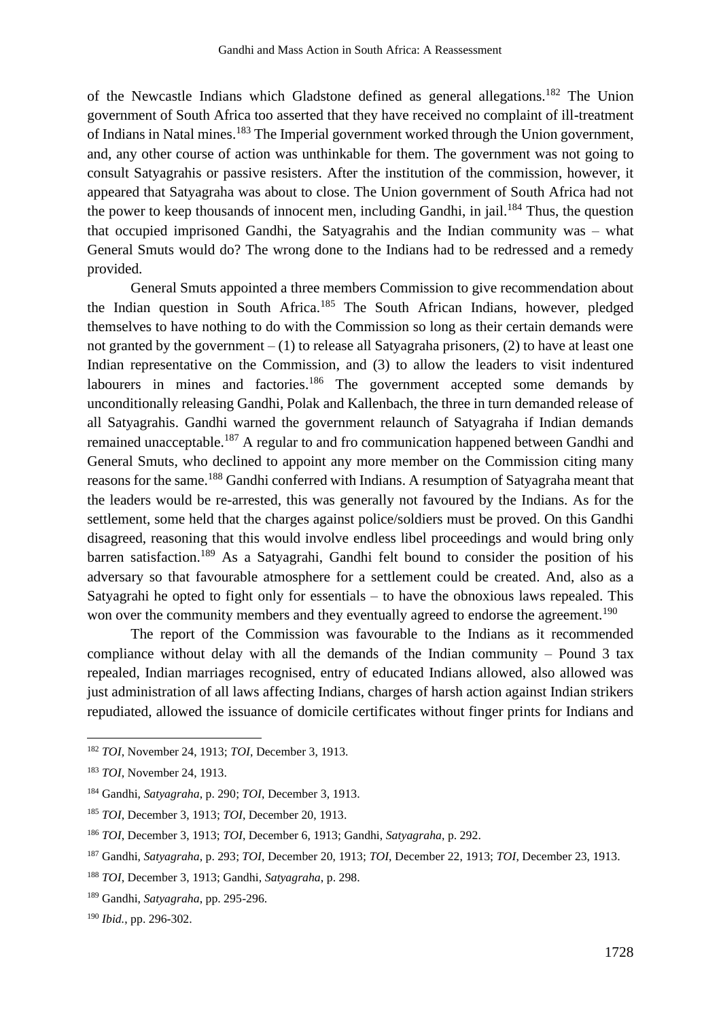of the Newcastle Indians which Gladstone defined as general allegations.<sup>182</sup> The Union government of South Africa too asserted that they have received no complaint of ill-treatment of Indians in Natal mines.<sup>183</sup> The Imperial government worked through the Union government, and, any other course of action was unthinkable for them. The government was not going to consult Satyagrahis or passive resisters. After the institution of the commission, however, it appeared that Satyagraha was about to close. The Union government of South Africa had not the power to keep thousands of innocent men, including Gandhi, in jail.<sup>184</sup> Thus, the question that occupied imprisoned Gandhi, the Satyagrahis and the Indian community was – what General Smuts would do? The wrong done to the Indians had to be redressed and a remedy provided.

General Smuts appointed a three members Commission to give recommendation about the Indian question in South Africa.<sup>185</sup> The South African Indians, however, pledged themselves to have nothing to do with the Commission so long as their certain demands were not granted by the government  $- (1)$  to release all Satyagraha prisoners, (2) to have at least one Indian representative on the Commission, and (3) to allow the leaders to visit indentured labourers in mines and factories.<sup>186</sup> The government accepted some demands by unconditionally releasing Gandhi, Polak and Kallenbach, the three in turn demanded release of all Satyagrahis. Gandhi warned the government relaunch of Satyagraha if Indian demands remained unacceptable.<sup>187</sup> A regular to and fro communication happened between Gandhi and General Smuts, who declined to appoint any more member on the Commission citing many reasons for the same.<sup>188</sup> Gandhi conferred with Indians. A resumption of Satyagraha meant that the leaders would be re-arrested, this was generally not favoured by the Indians. As for the settlement, some held that the charges against police/soldiers must be proved. On this Gandhi disagreed, reasoning that this would involve endless libel proceedings and would bring only barren satisfaction.<sup>189</sup> As a Satyagrahi, Gandhi felt bound to consider the position of his adversary so that favourable atmosphere for a settlement could be created. And, also as a Satyagrahi he opted to fight only for essentials – to have the obnoxious laws repealed. This won over the community members and they eventually agreed to endorse the agreement.<sup>190</sup>

The report of the Commission was favourable to the Indians as it recommended compliance without delay with all the demands of the Indian community – Pound 3 tax repealed, Indian marriages recognised, entry of educated Indians allowed, also allowed was just administration of all laws affecting Indians, charges of harsh action against Indian strikers repudiated, allowed the issuance of domicile certificates without finger prints for Indians and

<sup>182</sup> *TOI*, November 24, 1913; *TOI*, December 3, 1913.

<sup>183</sup> *TOI*, November 24, 1913.

<sup>184</sup> Gandhi, *Satyagraha*, p. 290; *TOI*, December 3, 1913.

<sup>185</sup> *TOI*, December 3, 1913; *TOI*, December 20, 1913.

<sup>186</sup> *TOI*, December 3, 1913; *TOI*, December 6, 1913; Gandhi, *Satyagraha*, p. 292.

<sup>187</sup> Gandhi, *Satyagraha*, p. 293; *TOI*, December 20, 1913; *TOI*, December 22, 1913; *TOI*, December 23, 1913.

<sup>188</sup> *TOI*, December 3, 1913; Gandhi, *Satyagraha*, p. 298.

<sup>189</sup> Gandhi, *Satyagraha*, pp. 295-296.

<sup>190</sup> *Ibid.*, pp. 296-302.